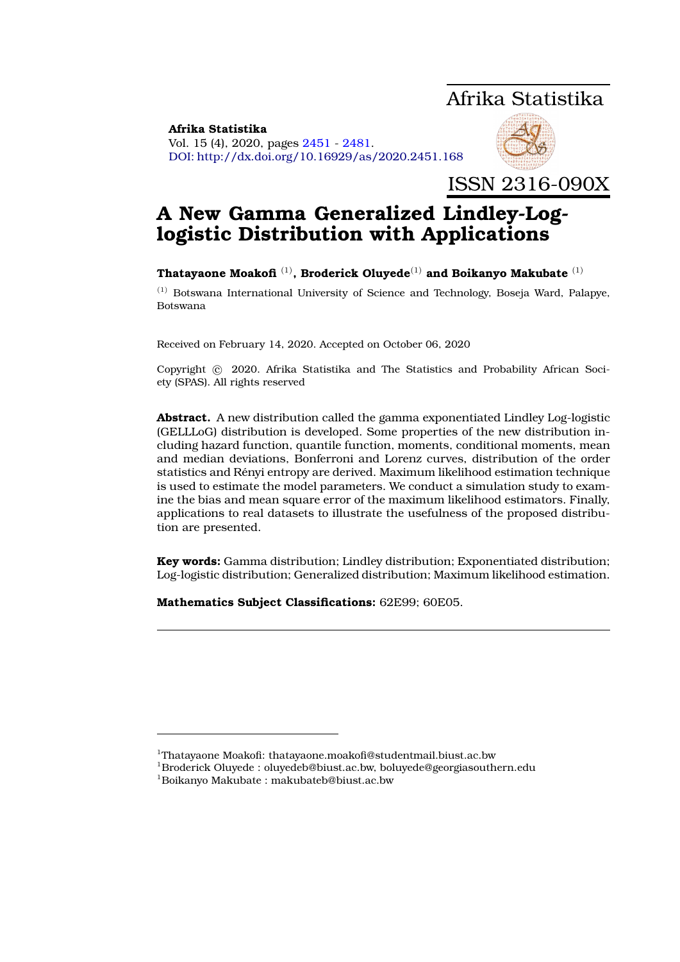# Afrika Statistika

<span id="page-0-0"></span>**Afrika Statistika** Vol. 15 (4), 2020, pages [2451](#page-0-0) - [2481.](#page-27-0) DOI: http://dx.doi.org/10.16929/as/2020.2451.168



ISSN 2316-090X

# **A New Gamma Generalized Lindley-Loglogistic Distribution with Applications**

# **Thatayaone Moakofi** (1)**, Broderick Oluyede**(1) **and Boikanyo Makubate** (1)

 $<sup>(1)</sup>$  Botswana International University of Science and Technology, Boseja Ward, Palapye,</sup> Botswana

Received on February 14, 2020. Accepted on October 06, 2020

Copyright © 2020. Afrika Statistika and The Statistics and Probability African Society (SPAS). All rights reserved

**Abstract.** A new distribution called the gamma exponentiated Lindley Log-logistic (GELLLoG) distribution is developed. Some properties of the new distribution including hazard function, quantile function, moments, conditional moments, mean and median deviations, Bonferroni and Lorenz curves, distribution of the order statistics and Renyi entropy are derived. Maximum likelihood estimation technique ´ is used to estimate the model parameters. We conduct a simulation study to examine the bias and mean square error of the maximum likelihood estimators. Finally, applications to real datasets to illustrate the usefulness of the proposed distribution are presented.

**Key words:** Gamma distribution; Lindley distribution; Exponentiated distribution; Log-logistic distribution; Generalized distribution; Maximum likelihood estimation.

**Mathematics Subject Classifications:** 62E99; 60E05.

<sup>1</sup>Thatayaone Moakofi: thatayaone.moakofi@studentmail.biust.ac.bw

<sup>1</sup>Broderick Oluyede : oluyedeb@biust.ac.bw, boluyede@georgiasouthern.edu

<sup>1</sup>Boikanyo Makubate : makubateb@biust.ac.bw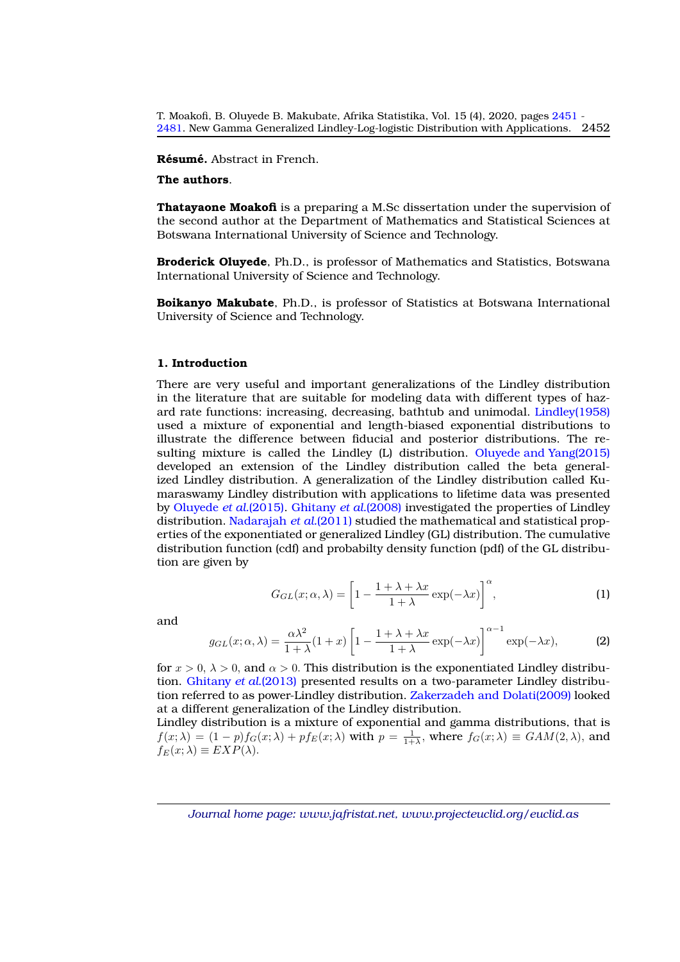**Résumé.** Abstract in French.

## **The authors**.

**Thatayaone Moakofi** is a preparing a M.Sc dissertation under the supervision of the second author at the Department of Mathematics and Statistical Sciences at Botswana International University of Science and Technology.

**Broderick Oluyede**, Ph.D., is professor of Mathematics and Statistics, Botswana International University of Science and Technology.

**Boikanyo Makubate**, Ph.D., is professor of Statistics at Botswana International University of Science and Technology.

### **1. Introduction**

There are very useful and important generalizations of the Lindley distribution in the literature that are suitable for modeling data with different types of hazard rate functions: increasing, decreasing, bathtub and unimodal. [Lindley\(1958\)](#page-27-1) used a mixture of exponential and length-biased exponential distributions to illustrate the difference between fiducial and posterior distributions. The resulting mixture is called the Lindley (L) distribution. [Oluyede and Yang\(2015\)](#page-27-2) developed an extension of the Lindley distribution called the beta generalized Lindley distribution. A generalization of the Lindley distribution called Kumaraswamy Lindley distribution with applications to lifetime data was presented by [Oluyede](#page-27-3) *et al.*(2015). [Ghitany](#page-27-4) *et al.*(2008) investigated the properties of Lindley distribution. [Nadarajah](#page-27-5) *et al.*(2011) studied the mathematical and statistical properties of the exponentiated or generalized Lindley (GL) distribution. The cumulative distribution function (cdf) and probabilty density function (pdf) of the GL distribution are given by

$$
G_{GL}(x; \alpha, \lambda) = \left[1 - \frac{1 + \lambda + \lambda x}{1 + \lambda} \exp(-\lambda x)\right]^{\alpha},\tag{1}
$$

and

$$
g_{GL}(x; \alpha, \lambda) = \frac{\alpha \lambda^2}{1 + \lambda} (1 + x) \left[ 1 - \frac{1 + \lambda + \lambda x}{1 + \lambda} \exp(-\lambda x) \right]^{\alpha - 1} \exp(-\lambda x), \tag{2}
$$

for  $x > 0$ ,  $\lambda > 0$ , and  $\alpha > 0$ . This distribution is the exponentiated Lindley distribution. [Ghitany](#page-27-6) *et al.*(2013) presented results on a two-parameter Lindley distribution referred to as power-Lindley distribution. [Zakerzadeh and Dolati\(2009\)](#page-27-7) looked at a different generalization of the Lindley distribution.

Lindley distribution is a mixture of exponential and gamma distributions, that is  $f(x; \lambda) = (1-p)f_G(x; \lambda) + pf_E(x; \lambda)$  with  $p = \frac{1}{1+\lambda}$ , where  $f_G(x; \lambda) \equiv GAM(2, \lambda)$ , and  $f_E(x; \lambda) \equiv EXP(\lambda).$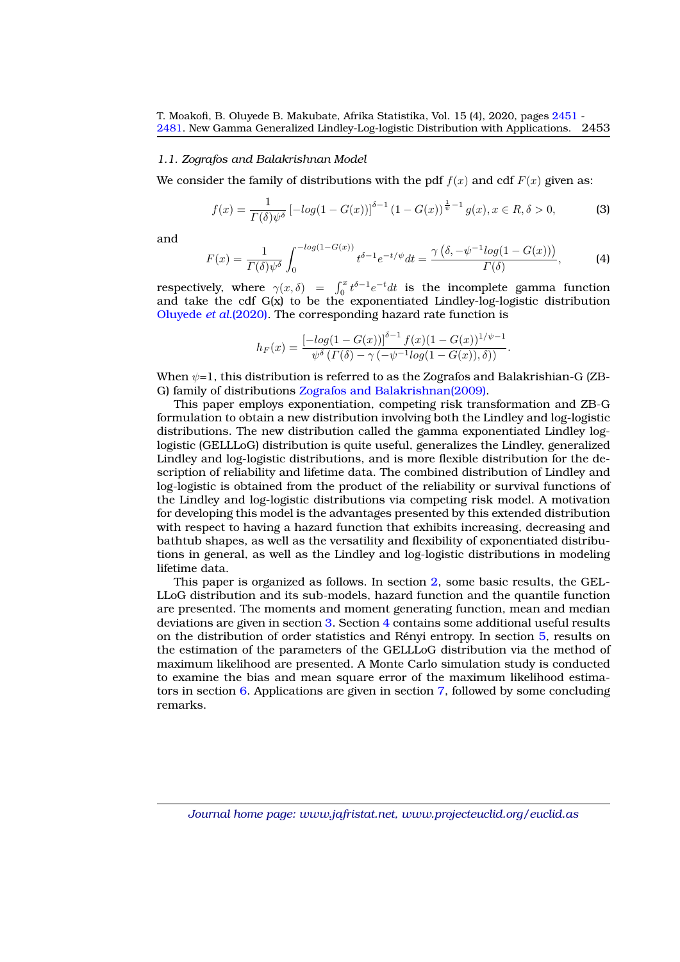#### *1.1. Zografos and Balakrishnan Model*

We consider the family of distributions with the pdf  $f(x)$  and cdf  $F(x)$  given as:

$$
f(x) = \frac{1}{\Gamma(\delta)\psi^{\delta}} \left[ -\log(1 - G(x)) \right]^{\delta - 1} (1 - G(x))^{\frac{1}{\psi} - 1} g(x), x \in R, \delta > 0,
$$
 (3)

and

$$
F(x) = \frac{1}{\Gamma(\delta)\psi^{\delta}} \int_0^{-\log(1 - G(x))} t^{\delta - 1} e^{-t/\psi} dt = \frac{\gamma(\delta, -\psi^{-1} \log(1 - G(x)))}{\Gamma(\delta)},\tag{4}
$$

respectively, where  $\gamma(x,\delta) = \int_0^x t^{\delta-1} e^{-t} dt$  is the incomplete gamma function and take the cdf G(x) to be the exponentiated Lindley-log-logistic distribution [Oluyede](#page-27-8) *et al.*(2020). The corresponding hazard rate function is

$$
h_F(x) = \frac{\left[-\log(1 - G(x))\right]^{\delta - 1} f(x) (1 - G(x))^{1/\psi - 1}}{\psi^{\delta} \left(\Gamma(\delta) - \gamma \left(-\psi^{-1} \log(1 - G(x)), \delta\right)\right)}.
$$

When  $\psi$ =1, this distribution is referred to as the Zografos and Balakrishian-G (ZB-G) family of distributions [Zografos and Balakrishnan\(2009\).](#page-28-0)

This paper employs exponentiation, competing risk transformation and ZB-G formulation to obtain a new distribution involving both the Lindley and log-logistic distributions. The new distribution called the gamma exponentiated Lindley loglogistic (GELLLoG) distribution is quite useful, generalizes the Lindley, generalized Lindley and log-logistic distributions, and is more flexible distribution for the description of reliability and lifetime data. The combined distribution of Lindley and log-logistic is obtained from the product of the reliability or survival functions of the Lindley and log-logistic distributions via competing risk model. A motivation for developing this model is the advantages presented by this extended distribution with respect to having a hazard function that exhibits increasing, decreasing and bathtub shapes, as well as the versatility and flexibility of exponentiated distributions in general, as well as the Lindley and log-logistic distributions in modeling lifetime data.

This paper is organized as follows. In section [2,](#page-3-0) some basic results, the GEL-LLoG distribution and its sub-models, hazard function and the quantile function are presented. The moments and moment generating function, mean and median deviations are given in section [3.](#page-8-0) Section [4](#page-14-0) contains some additional useful results on the distribution of order statistics and Rényi entropy. In section [5,](#page-18-0) results on the estimation of the parameters of the GELLLoG distribution via the method of maximum likelihood are presented. A Monte Carlo simulation study is conducted to examine the bias and mean square error of the maximum likelihood estimators in section [6.](#page-20-0) Applications are given in section [7,](#page-21-0) followed by some concluding remarks.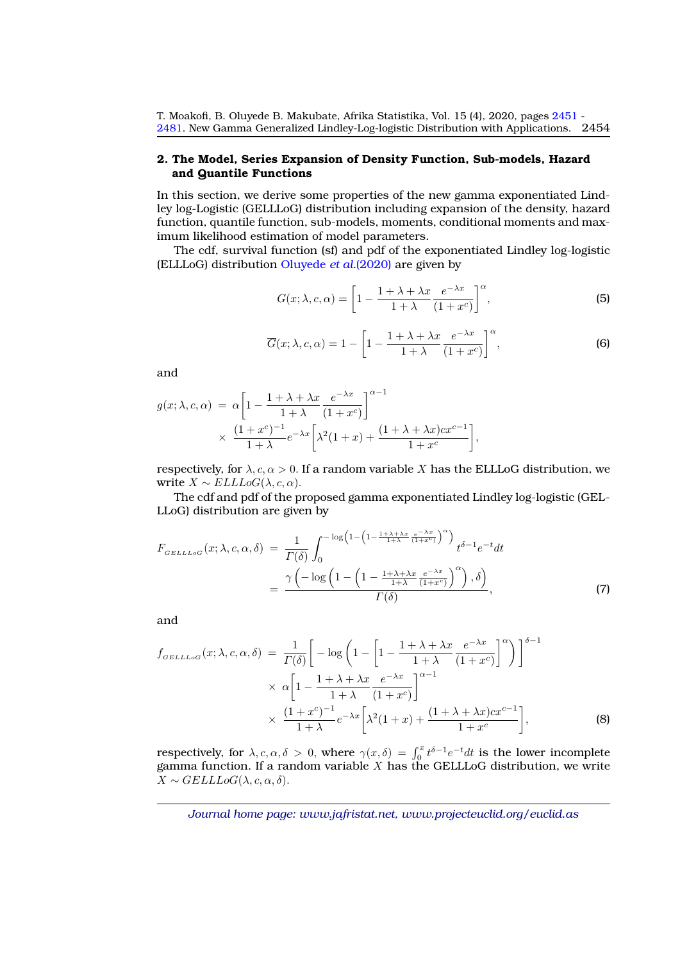## <span id="page-3-0"></span>**2. The Model, Series Expansion of Density Function, Sub-models, Hazard and Quantile Functions**

In this section, we derive some properties of the new gamma exponentiated Lindley log-Logistic (GELLLoG) distribution including expansion of the density, hazard function, quantile function, sub-models, moments, conditional moments and maximum likelihood estimation of model parameters.

The cdf, survival function (sf) and pdf of the exponentiated Lindley log-logistic (ELLLoG) distribution [Oluyede](#page-27-8) *et al.*(2020) are given by

$$
G(x; \lambda, c, \alpha) = \left[1 - \frac{1 + \lambda + \lambda x}{1 + \lambda} \frac{e^{-\lambda x}}{(1 + x^c)}\right]^\alpha,
$$
\n(5)

$$
\overline{G}(x; \lambda, c, \alpha) = 1 - \left[1 - \frac{1 + \lambda + \lambda x}{1 + \lambda} \frac{e^{-\lambda x}}{(1 + x^c)}\right]^\alpha,
$$
\n(6)

and

$$
g(x; \lambda, c, \alpha) = \alpha \left[ 1 - \frac{1 + \lambda + \lambda x}{1 + \lambda} \frac{e^{-\lambda x}}{(1 + x^c)} \right]^{\alpha - 1}
$$
  
 
$$
\times \frac{(1 + x^c)^{-1}}{1 + \lambda} e^{-\lambda x} \left[ \lambda^2 (1 + x) + \frac{(1 + \lambda + \lambda x) c x^{c-1}}{1 + x^c} \right],
$$

respectively, for  $\lambda, c, \alpha > 0$ . If a random variable X has the ELLLoG distribution, we write  $X \sim ELLLoG(\lambda, c, \alpha)$ .

The cdf and pdf of the proposed gamma exponentiated Lindley log-logistic (GEL-LLoG) distribution are given by

$$
F_{GELLLoG}(x; \lambda, c, \alpha, \delta) = \frac{1}{\Gamma(\delta)} \int_0^{-\log(1 - \left(1 - \frac{1 + \lambda + \lambda x}{1 + \lambda} \frac{e^{-\lambda x}}{(1 + x^c)}\right)^{\alpha})} t^{\delta - 1} e^{-t} dt
$$
  

$$
= \frac{\gamma \left(-\log\left(1 - \left(1 - \frac{1 + \lambda + \lambda x}{1 + \lambda} \frac{e^{-\lambda x}}{(1 + x^c)}\right)^{\alpha}\right), \delta\right)}{\Gamma(\delta)}, \tag{7}
$$

and

$$
f_{GELLLoG}(x; \lambda, c, \alpha, \delta) = \frac{1}{\Gamma(\delta)} \bigg[ -\log \bigg( 1 - \bigg[ 1 - \frac{1 + \lambda + \lambda x}{1 + \lambda} \frac{e^{-\lambda x}}{(1 + x^c)} \bigg]^{\alpha} \bigg) \bigg]^{\delta - 1} \times \alpha \bigg[ 1 - \frac{1 + \lambda + \lambda x}{1 + \lambda} \frac{e^{-\lambda x}}{(1 + x^c)} \bigg]^{\alpha - 1} \times \frac{(1 + x^c)^{-1}}{1 + \lambda} e^{-\lambda x} \bigg[ \lambda^2 (1 + x) + \frac{(1 + \lambda + \lambda x) c x^{c - 1}}{1 + x^c} \bigg],
$$
 (8)

respectively, for  $\lambda, c, \alpha, \delta > 0$ , where  $\gamma(x, \delta) = \int_0^x t^{\delta-1} e^{-t} dt$  is the lower incomplete gamma function. If a random variable  $X$  has the GELLLoG distribution, we write  $X \sim \text{GELLLoG}(\lambda, c, \alpha, \delta).$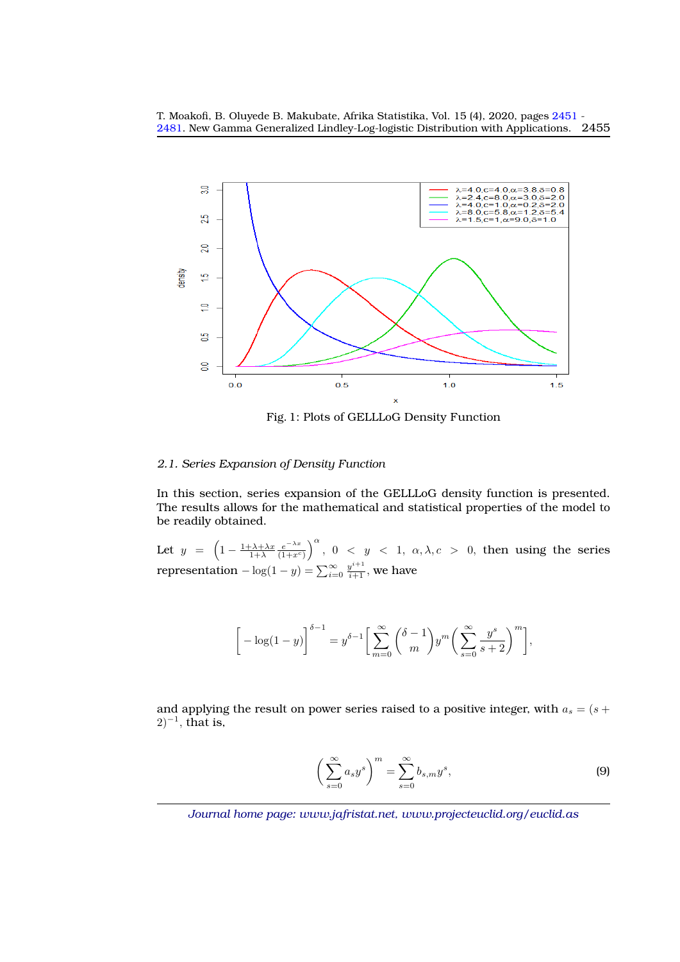

Fig. 1: Plots of GELLLoG Density Function

# *2.1. Series Expansion of Density Function*

In this section, series expansion of the GELLLoG density function is presented. The results allows for the mathematical and statistical properties of the model to be readily obtained.

Let  $y = \left(1 - \frac{1 + \lambda + \lambda x}{1 + \lambda} \frac{e^{-\lambda x}}{(1 + x^c)}\right)$  $\frac{e^{-\lambda x}}{(1+x^c)}\Big)^{\alpha}$ ,  $0 < y < 1$ ,  $\alpha, \lambda, c > 0$ , then using the series representation  $-\log(1-y)=\sum_{i=0}^{\infty}\frac{y^{i+1}}{i+1},$  we have

$$
\[\left[-\log(1-y)\right]^{\delta-1}=y^{\delta-1}\bigg[\sum_{m=0}^{\infty}\binom{\delta-1}{m}y^m\bigg(\sum_{s=0}^{\infty}\frac{y^s}{s+2}\bigg)^m\bigg],
$$

and applying the result on power series raised to a positive integer, with  $a_s = (s +$  $(2)^{-1}$ , that is,

$$
\left(\sum_{s=0}^{\infty} a_s y^s\right)^m = \sum_{s=0}^{\infty} b_{s,m} y^s,
$$
\n(9)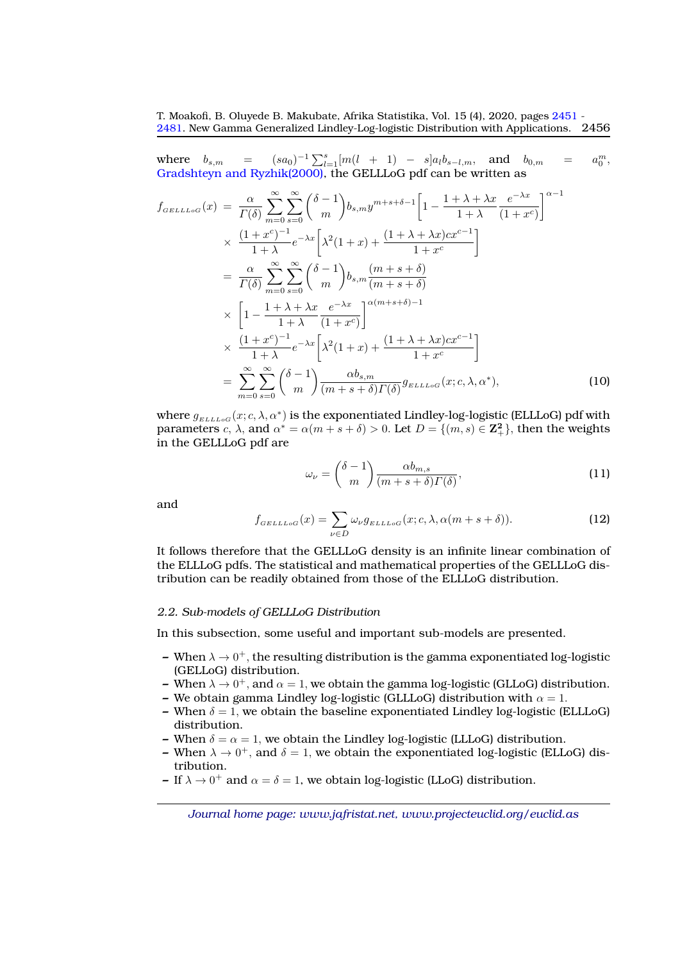where  $b_{s,m}$  =  $e^{-1} \sum_{l=1}^{s} [m(l + 1) - s] a_l b_{s-l,m}$ , and  $b_{0,m} = a$  $\frac{m}{0}$ [Gradshteyn and Ryzhik\(2000\),](#page-27-9) the GELLLoG pdf can be written as

$$
f_{GELLLoG}(x) = \frac{\alpha}{\Gamma(\delta)} \sum_{m=0}^{\infty} \sum_{s=0}^{\infty} {\delta - 1 \choose m} b_{s,m} y^{m+s+\delta-1} \left[ 1 - \frac{1 + \lambda + \lambda x}{1 + \lambda} \frac{e^{-\lambda x}}{(1 + x^c)} \right]^{\alpha - 1}
$$
  
\n
$$
\times \frac{(1 + x^c)^{-1}}{1 + \lambda} e^{-\lambda x} \left[ \lambda^2 (1 + x) + \frac{(1 + \lambda + \lambda x) c x^{c-1}}{1 + x^c} \right]
$$
  
\n
$$
= \frac{\alpha}{\Gamma(\delta)} \sum_{m=0}^{\infty} \sum_{s=0}^{\infty} {\delta - 1 \choose m} b_{s,m} \frac{(m+s+\delta)}{(m+s+\delta)}
$$
  
\n
$$
\times \left[ 1 - \frac{1 + \lambda + \lambda x}{1 + \lambda} \frac{e^{-\lambda x}}{(1 + x^c)} \right]^{\alpha(m+s+\delta)-1}
$$
  
\n
$$
\times \frac{(1 + x^c)^{-1}}{1 + \lambda} e^{-\lambda x} \left[ \lambda^2 (1 + x) + \frac{(1 + \lambda + \lambda x) c x^{c-1}}{1 + x^c} \right]
$$
  
\n
$$
= \sum_{m=0}^{\infty} \sum_{s=0}^{\infty} {\delta - 1 \choose m} \frac{\alpha b_{s,m}}{(m+s+\delta) \Gamma(\delta)} g_{ELLLoG}(x; c, \lambda, \alpha^*),
$$
 (10)

where  $g_{_{ELLoG}}(x;c,\lambda,\alpha^*)$  is the exponentiated Lindley-log-logistic (ELLLoG) pdf with parameters  $c, \lambda$ , and  $\alpha^* = \alpha(m+s+\delta) > 0$ . Let  $D = \{(m, s) \in \mathbb{Z}_{+}^2\}$ , then the weights in the GELLLoG pdf are

$$
\omega_{\nu} = \binom{\delta - 1}{m} \frac{\alpha b_{m,s}}{(m + s + \delta) \Gamma(\delta)},\tag{11}
$$

and

$$
f_{GELLLoG}(x) = \sum_{\nu \in D} \omega_{\nu} g_{ELLLoG}(x; c, \lambda, \alpha(m+s+\delta)).
$$
 (12)

It follows therefore that the GELLLoG density is an infinite linear combination of the ELLLoG pdfs. The statistical and mathematical properties of the GELLLoG distribution can be readily obtained from those of the ELLLoG distribution.

#### *2.2. Sub-models of GELLLoG Distribution*

In this subsection, some useful and important sub-models are presented.

- $-$  When  $\lambda \rightarrow 0^+$ , the resulting distribution is the gamma exponentiated log-logistic (GELLoG) distribution.
- $\blacktriangle$  When  $\lambda \to 0^+$ , and  $\alpha = 1$ , we obtain the gamma log-logistic (GLLoG) distribution.
- **–** We obtain gamma Lindley log-logistic (GLLLoG) distribution with  $\alpha = 1$ .
- **–** When  $\delta = 1$ , we obtain the baseline exponentiated Lindley log-logistic (ELLLoG) distribution.
- **–** When  $\delta = \alpha = 1$ , we obtain the Lindley log-logistic (LLLoG) distribution.
- **–** When  $\lambda \to 0^+$ , and  $\delta = 1$ , we obtain the exponentiated log-logistic (ELLoG) distribution.
- **–** If  $\lambda \to 0^+$  and  $\alpha = \delta = 1$ , we obtain log-logistic (LLoG) distribution.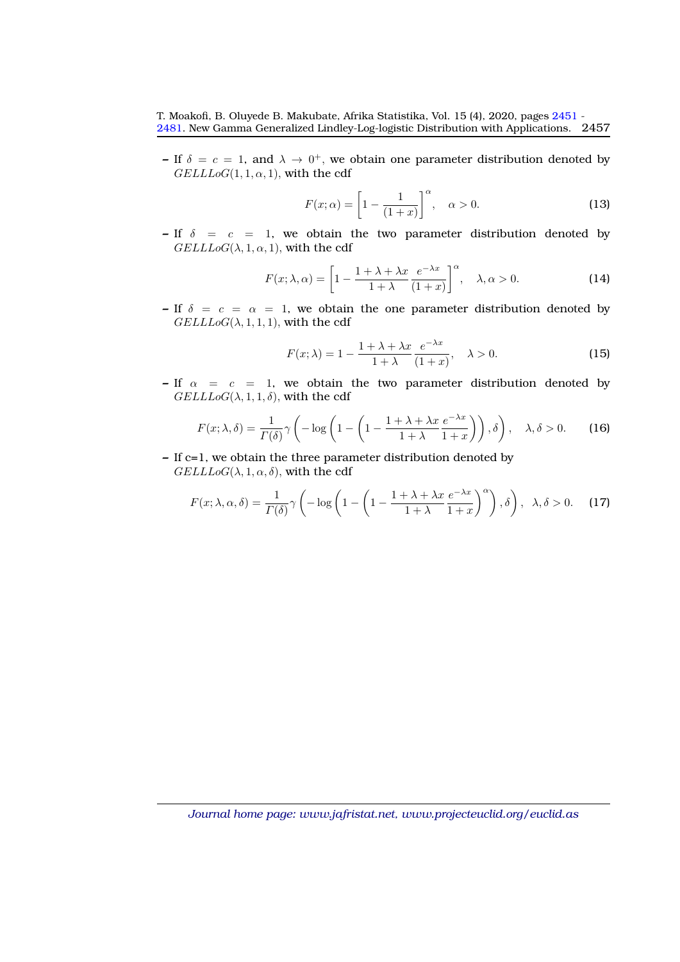**–** If  $\delta = c = 1$ , and  $\lambda \to 0^+$ , we obtain one parameter distribution denoted by  $GELLLoG(1, 1, \alpha, 1)$ , with the cdf

$$
F(x; \alpha) = \left[1 - \frac{1}{(1+x)}\right]^\alpha, \quad \alpha > 0.
$$
 (13)

**–** If  $\delta$  = c = 1, we obtain the two parameter distribution denoted by  $GELLLoG(\lambda, 1, \alpha, 1)$ , with the cdf

$$
F(x; \lambda, \alpha) = \left[1 - \frac{1 + \lambda + \lambda x}{1 + \lambda} \frac{e^{-\lambda x}}{(1 + x)}\right]^\alpha, \quad \lambda, \alpha > 0.
$$
 (14)

**–** If  $\delta = c = \alpha = 1$ , we obtain the one parameter distribution denoted by  $GELLLoG(\lambda, 1, 1, 1)$ , with the cdf

$$
F(x; \lambda) = 1 - \frac{1 + \lambda + \lambda x}{1 + \lambda} \frac{e^{-\lambda x}}{(1 + x)}, \quad \lambda > 0.
$$
 (15)

**–** If  $\alpha = c = 1$ , we obtain the two parameter distribution denoted by  $GELLLoG(\lambda, 1, 1, \delta)$ , with the cdf

$$
F(x; \lambda, \delta) = \frac{1}{\Gamma(\delta)} \gamma \left( -\log \left( 1 - \left( 1 - \frac{1 + \lambda + \lambda x}{1 + \lambda} \frac{e^{-\lambda x}}{1 + x} \right) \right), \delta \right), \quad \lambda, \delta > 0. \tag{16}
$$

**–** If c=1, we obtain the three parameter distribution denoted by  $GELLLoG(\lambda, 1, \alpha, \delta)$ , with the cdf

$$
F(x; \lambda, \alpha, \delta) = \frac{1}{\Gamma(\delta)} \gamma \left( -\log \left( 1 - \left( 1 - \frac{1 + \lambda + \lambda x}{1 + \lambda} \frac{e^{-\lambda x}}{1 + x} \right)^{\alpha} \right), \delta \right), \lambda, \delta > 0. \tag{17}
$$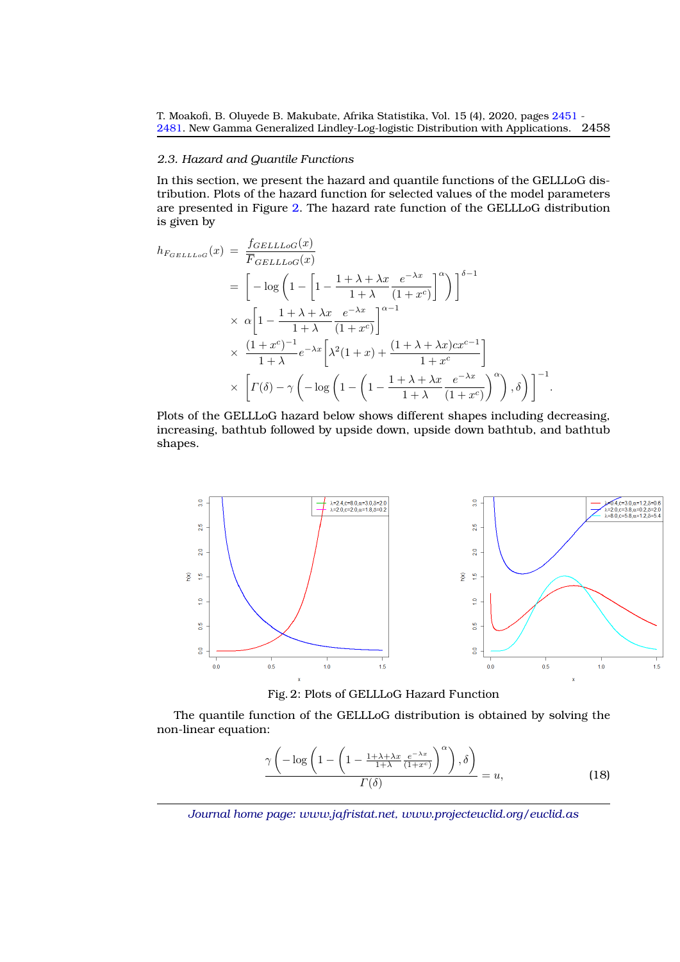#### *2.3. Hazard and Quantile Functions*

In this section, we present the hazard and quantile functions of the GELLLoG distribution. Plots of the hazard function for selected values of the model parameters are presented in Figure [2.](#page-7-0) The hazard rate function of the GELLLoG distribution is given by

$$
h_{F_{GELLLoG}}(x) = \frac{f_{GELLLoG}(x)}{\overline{F}_{GELLLoG}(x)}
$$
  
= 
$$
\left[ -\log \left( 1 - \left[ 1 - \frac{1 + \lambda + \lambda x}{1 + \lambda} \frac{e^{-\lambda x}}{(1 + x^c)} \right]^\alpha \right) \right]^{\delta - 1}
$$
  

$$
\times \alpha \left[ 1 - \frac{1 + \lambda + \lambda x}{1 + \lambda} \frac{e^{-\lambda x}}{(1 + x^c)} \right]^{\alpha - 1}
$$
  

$$
\times \frac{(1 + x^c)^{-1}}{1 + \lambda} e^{-\lambda x} \left[ \lambda^2 (1 + x) + \frac{(1 + \lambda + \lambda x) c x^{c-1}}{1 + x^c} \right]
$$
  

$$
\times \left[ \Gamma(\delta) - \gamma \left( -\log \left( 1 - \left( 1 - \frac{1 + \lambda + \lambda x}{1 + \lambda} \frac{e^{-\lambda x}}{(1 + x^c)} \right)^\alpha \right), \delta \right) \right]^{-1}.
$$

Plots of the GELLLoG hazard below shows different shapes including decreasing, increasing, bathtub followed by upside down, upside down bathtub, and bathtub shapes.

<span id="page-7-0"></span>

Fig. 2: Plots of GELLLoG Hazard Function

The quantile function of the GELLLoG distribution is obtained by solving the non-linear equation:

$$
\frac{\gamma\left(-\log\left(1-\left(1-\frac{1+\lambda+\lambda x}{1+\lambda}\frac{e^{-\lambda x}}{(1+x^c)}\right)^{\alpha}\right),\delta\right)}{\Gamma(\delta)}=u,\tag{18}
$$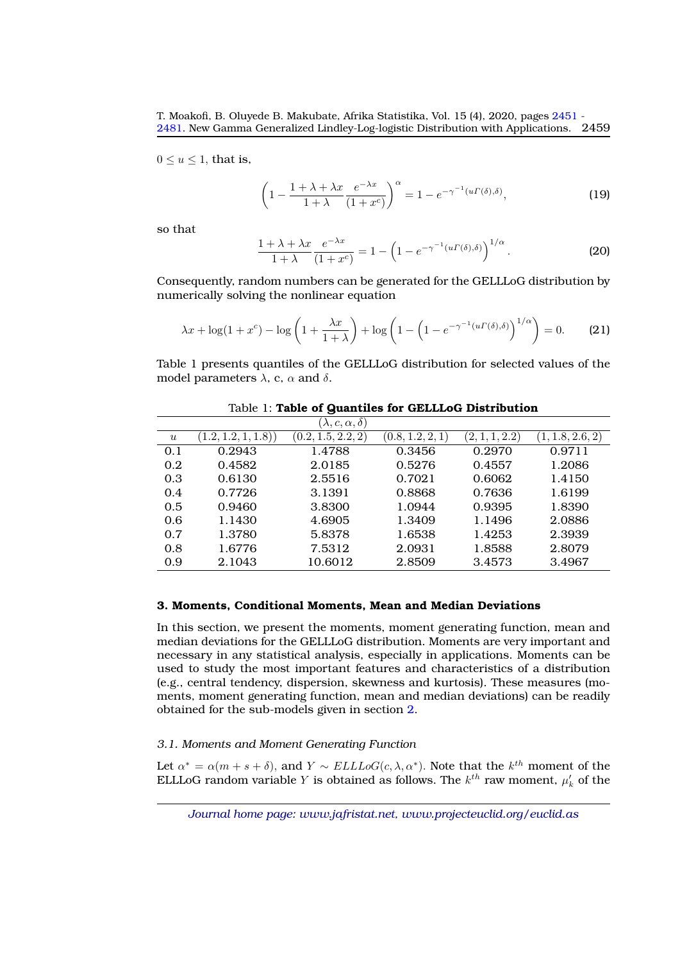$0 \le u \le 1$ , that is,

$$
\left(1 - \frac{1 + \lambda + \lambda x}{1 + \lambda} \frac{e^{-\lambda x}}{(1 + x^c)}\right)^{\alpha} = 1 - e^{-\gamma^{-1}(u\Gamma(\delta), \delta)},\tag{19}
$$

so that

$$
\frac{1+\lambda+\lambda x}{1+\lambda} \frac{e^{-\lambda x}}{(1+x^c)} = 1 - \left(1 - e^{-\gamma^{-1}(u\Gamma(\delta),\delta)}\right)^{1/\alpha}.
$$
 (20)

Consequently, random numbers can be generated for the GELLLoG distribution by numerically solving the nonlinear equation

$$
\lambda x + \log(1 + x^c) - \log\left(1 + \frac{\lambda x}{1 + \lambda}\right) + \log\left(1 - \left(1 - e^{-\gamma^{-1}(u\Gamma(\delta), \delta)}\right)^{1/\alpha}\right) = 0. \tag{21}
$$

Table 1 presents quantiles of the GELLLoG distribution for selected values of the model parameters  $\lambda$ , c,  $\alpha$  and  $\delta$ .

|                  |                    | $(\lambda, c, \alpha, \delta)$ |                  |                |                  |
|------------------|--------------------|--------------------------------|------------------|----------------|------------------|
| $\boldsymbol{u}$ | (1.2, 1.2, 1, 1.8) | (0.2, 1.5, 2.2, 2)             | (0.8, 1.2, 2, 1) | (2, 1, 1, 2.2) | (1, 1.8, 2.6, 2) |
| 0.1              | 0.2943             | 1.4788                         | 0.3456           | 0.2970         | 0.9711           |
| 0.2              | 0.4582             | 2.0185                         | 0.5276           | 0.4557         | 1.2086           |
| 0.3              | 0.6130             | 2.5516                         | 0.7021           | 0.6062         | 1.4150           |
| 0.4              | 0.7726             | 3.1391                         | 0.8868           | 0.7636         | 1.6199           |
| 0.5              | 0.9460             | 3.8300                         | 1.0944           | 0.9395         | 1.8390           |
| 0.6              | 1.1430             | 4.6905                         | 1.3409           | 1.1496         | 2.0886           |
| 0.7              | 1.3780             | 5.8378                         | 1.6538           | 1.4253         | 2.3939           |
| 0.8              | 1.6776             | 7.5312                         | 2.0931           | 1.8588         | 2.8079           |
| 0.9              | 2.1043             | 10.6012                        | 2.8509           | 3.4573         | 3.4967           |

Table 1: **Table of Quantiles for GELLLoG Distribution**

# <span id="page-8-0"></span>**3. Moments, Conditional Moments, Mean and Median Deviations**

In this section, we present the moments, moment generating function, mean and median deviations for the GELLLoG distribution. Moments are very important and necessary in any statistical analysis, especially in applications. Moments can be used to study the most important features and characteristics of a distribution (e.g., central tendency, dispersion, skewness and kurtosis). These measures (moments, moment generating function, mean and median deviations) can be readily obtained for the sub-models given in section [2.](#page-3-0)

# *3.1. Moments and Moment Generating Function*

Let  $\alpha^* = \alpha(m+s+\delta)$ , and  $Y \sim \text{ELLLoG}(c, \lambda, \alpha^*)$ . Note that the  $k^{th}$  moment of the ELLLoG random variable Y is obtained as follows. The  $k^{th}$  raw moment,  $\mu_k'$  of the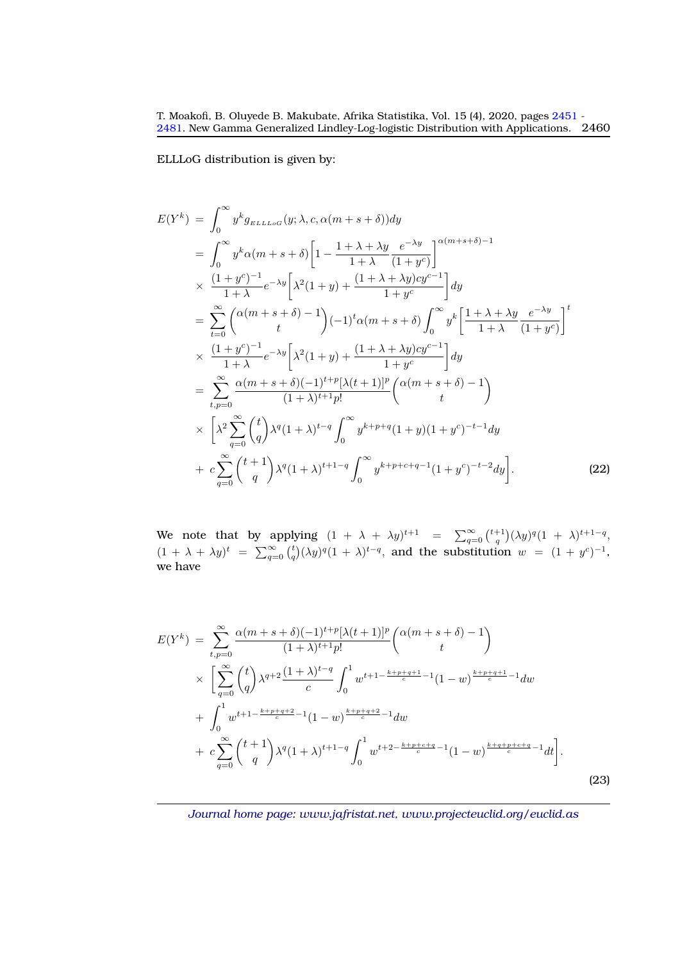ELLLoG distribution is given by:

$$
E(Y^{k}) = \int_{0}^{\infty} y^{k} g_{\text{ELLoG}}(y; \lambda, c, \alpha(m+s+\delta)) dy
$$
  
\n
$$
= \int_{0}^{\infty} y^{k} \alpha(m+s+\delta) \left[ 1 - \frac{1+\lambda+\lambda y}{1+\lambda} \frac{e^{-\lambda y}}{(1+y^{c})} \right]^{\alpha(m+s+\delta)-1}
$$
  
\n
$$
\times \frac{(1+y^{c})^{-1}}{1+\lambda} e^{-\lambda y} \left[ \lambda^{2} (1+y) + \frac{(1+\lambda+\lambda y)cy^{c-1}}{1+y^{c}} \right] dy
$$
  
\n
$$
= \sum_{t=0}^{\infty} \left( \alpha(m+s+\delta) - 1 \right) (-1)^{t} \alpha(m+s+\delta) \int_{0}^{\infty} y^{k} \left[ \frac{1+\lambda+\lambda y}{1+\lambda} \frac{e^{-\lambda y}}{(1+y^{c})} \right]^{t}
$$
  
\n
$$
\times \frac{(1+y^{c})^{-1}}{1+\lambda} e^{-\lambda y} \left[ \lambda^{2} (1+y) + \frac{(1+\lambda+\lambda y)cy^{c-1}}{1+y^{c}} \right] dy
$$
  
\n
$$
= \sum_{t,p=0}^{\infty} \frac{\alpha(m+s+\delta)(-1)^{t+p} [\lambda(t+1)]^{p}}{(1+\lambda)^{t+1} p!} \left( \alpha(m+s+\delta) - 1 \right)
$$
  
\n
$$
\times \left[ \lambda^{2} \sum_{q=0}^{\infty} {t \choose q} \lambda^{q} (1+\lambda)^{t-q} \int_{0}^{\infty} y^{k+p+q} (1+y) (1+y^{c})^{-t-1} dy
$$
  
\n
$$
+ c \sum_{q=0}^{\infty} {t+1 \choose q} \lambda^{q} (1+\lambda)^{t+1-q} \int_{0}^{\infty} y^{k+p+c+q-1} (1+y^{c})^{-t-2} dy \right].
$$
  
\n(22)

We note that by applying  $(1 + \lambda + \lambda y)^{t+1} = \sum_{q=0}^{\infty} {\binom{t+1}{q}} (\lambda y)^q (1 + \lambda)^{t+1-q}$ ,  $(1 + \lambda + \lambda y)^t = \sum_{q=0}^{\infty} {t \choose q} (\lambda y)^q (1 + \lambda)^{t-q}$ , and the substitution  $w = (1 + y^c)^{-1}$ , we have

$$
E(Y^{k}) = \sum_{t,p=0}^{\infty} \frac{\alpha(m+s+\delta)(-1)^{t+p}[\lambda(t+1)]^{p}}{(1+\lambda)^{t+1}p!} \binom{\alpha(m+s+\delta)-1}{t}
$$
  
 
$$
\times \left[ \sum_{q=0}^{\infty} {t \choose q} \lambda^{q+2} \frac{(1+\lambda)^{t-q}}{c} \int_{0}^{1} w^{t+1-\frac{k+p+q+1}{c}-1} (1-w)^{\frac{k+p+q+1}{c}-1} dw + \int_{0}^{1} w^{t+1-\frac{k+p+q+2}{c}-1} (1-w)^{\frac{k+p+q+2}{c}-1} dw + c \sum_{q=0}^{\infty} {t+1 \choose q} \lambda^{q} (1+\lambda)^{t+1-q} \int_{0}^{1} w^{t+2-\frac{k+p+c+q}{c}-1} (1-w)^{\frac{k+q+p+c+q}{c}-1} dt \right].
$$
\n(23)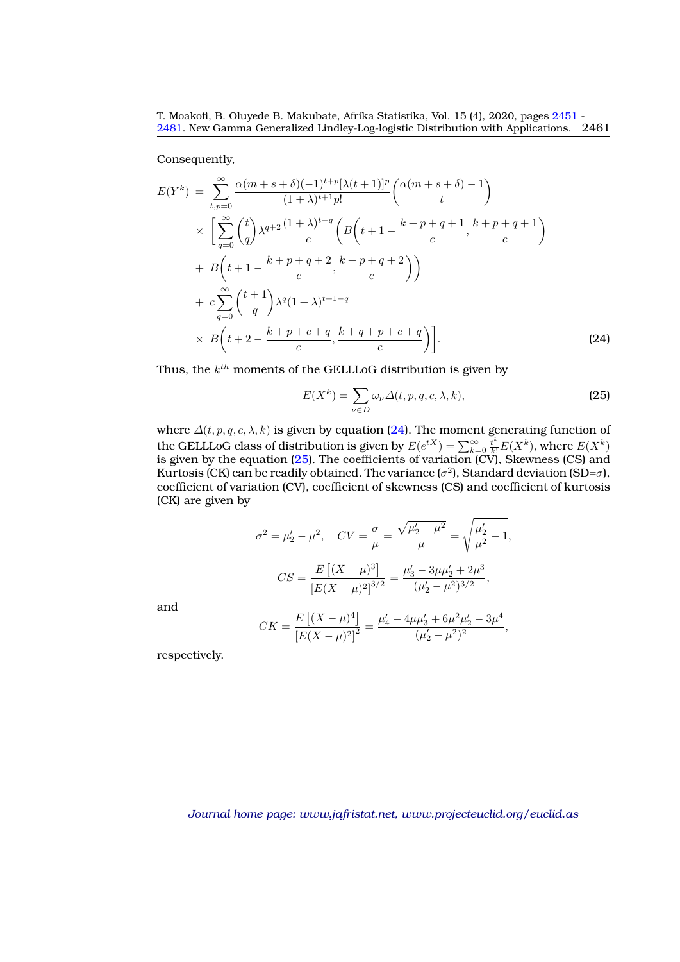Consequently,

<span id="page-10-0"></span>
$$
E(Y^{k}) = \sum_{t,p=0}^{\infty} \frac{\alpha(m+s+\delta)(-1)^{t+p}[\lambda(t+1)]^{p}}{(1+\lambda)^{t+1}p!} \binom{\alpha(m+s+\delta)-1}{t}
$$
  
 
$$
\times \left[ \sum_{q=0}^{\infty} {t \choose q} \lambda^{q+2} \frac{(1+\lambda)^{t-q}}{c} \left( B\left(t+1-\frac{k+p+q+1}{c}, \frac{k+p+q+1}{c}\right) + B\left(t+1-\frac{k+p+q+2}{c}, \frac{k+p+q+2}{c}\right) \right)
$$
  
 
$$
+ c \sum_{q=0}^{\infty} {t+1 \choose q} \lambda^{q} (1+\lambda)^{t+1-q}
$$
  
 
$$
\times B\left(t+2-\frac{k+p+c+q}{c}, \frac{k+q+p+c+q}{c}\right).
$$
 (24)

Thus, the  $k^{th}$  moments of the GELLLoG distribution is given by

<span id="page-10-1"></span>
$$
E(X^{k}) = \sum_{\nu \in D} \omega_{\nu} \Delta(t, p, q, c, \lambda, k),
$$
\n(25)

where  $\Delta(t, p, q, c, \lambda, k)$  is given by equation [\(24\)](#page-10-0). The moment generating function of the GELLLoG class of distribution is given by  $E(e^{tX}) = \sum_{k=0}^{\infty} \frac{t^k}{k!} E(X^k)$ , where  $E(X^k)$ is given by the equation [\(25\)](#page-10-1). The coefficients of variation (CV), Skewness (CS) and Kurtosis (CK) can be readily obtained. The variance ( $\sigma^2$ ), Standard deviation (SD= $\sigma$ ), coefficient of variation (CV), coefficient of skewness (CS) and coefficient of kurtosis (CK) are given by

$$
\sigma^2 = \mu'_2 - \mu^2, \quad CV = \frac{\sigma}{\mu} = \frac{\sqrt{\mu'_2 - \mu^2}}{\mu} = \sqrt{\frac{\mu'_2}{\mu^2} - 1},
$$

$$
CS = \frac{E\left[ (X - \mu)^3 \right]}{\left[ E(X - \mu)^2 \right]^{3/2}} = \frac{\mu'_3 - 3\mu\mu'_2 + 2\mu^3}{(\mu'_2 - \mu^2)^{3/2}},
$$

and

$$
CK = \frac{E\left[ (X - \mu)^4 \right]}{\left[ E(X - \mu)^2 \right]^2} = \frac{\mu_4' - 4\mu\mu_3' + 6\mu^2\mu_2' - 3\mu^4}{(\mu_2' - \mu^2)^2},
$$

respectively.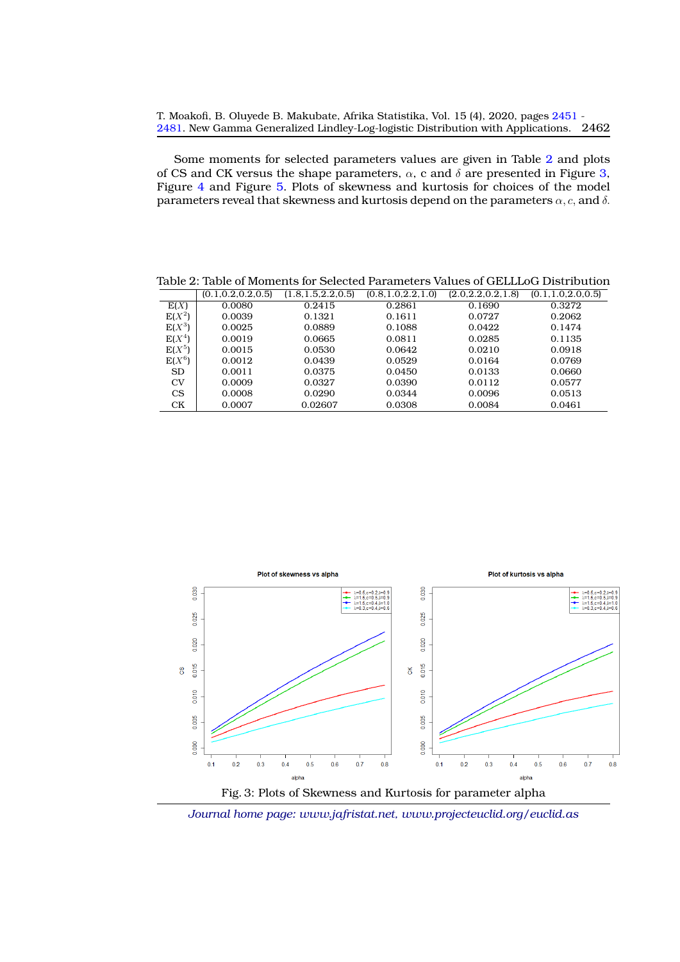Some moments for selected parameters values are given in Table [2](#page-11-0) and plots of CS and CK versus the shape parameters,  $\alpha$ , c and  $\delta$  are presented in Figure [3,](#page-11-1) Figure [4](#page-12-0) and Figure [5.](#page-12-1) Plots of skewness and kurtosis for choices of the model parameters reveal that skewness and kurtosis depend on the parameters  $\alpha$ , c, and  $\delta$ .

Table 2: Table of Moments for Selected Parameters Values of GELLLoG Distribution

<span id="page-11-0"></span>

|           | (0.1, 0.2, 0.2, 0.5) | (1.8, 1.5, 2.2, 0.5) | (0.8, 1.0, 2.2, 1.0) | (2.0, 2.2, 0.2, 1.8) | (0.1, 1.0, 2.0, 0.5) |
|-----------|----------------------|----------------------|----------------------|----------------------|----------------------|
| E(X)      | 0.0080               | 0.2415               | 0.2861               | 0.1690               | 0.3272               |
| $E(X^2)$  | 0.0039               | 0.1321               | 0.1611               | 0.0727               | 0.2062               |
| $E(X^3)$  | 0.0025               | 0.0889               | 0.1088               | 0.0422               | 0.1474               |
| $E(X^4)$  | 0.0019               | 0.0665               | 0.0811               | 0.0285               | 0.1135               |
| $E(X^5)$  | 0.0015               | 0.0530               | 0.0642               | 0.0210               | 0.0918               |
| $E(X^6)$  | 0.0012               | 0.0439               | 0.0529               | 0.0164               | 0.0769               |
| <b>SD</b> | 0.0011               | 0.0375               | 0.0450               | 0.0133               | 0.0660               |
| CV        | 0.0009               | 0.0327               | 0.0390               | 0.0112               | 0.0577               |
| <b>CS</b> | 0.0008               | 0.0290               | 0.0344               | 0.0096               | 0.0513               |
| CK        | 0.0007               | 0.02607              | 0.0308               | 0.0084               | 0.0461               |

<span id="page-11-1"></span>

Fig. 3: Plots of Skewness and Kurtosis for parameter alpha

*Journal home page: www.jafristat.net, www.projecteuclid.org/euclid.as*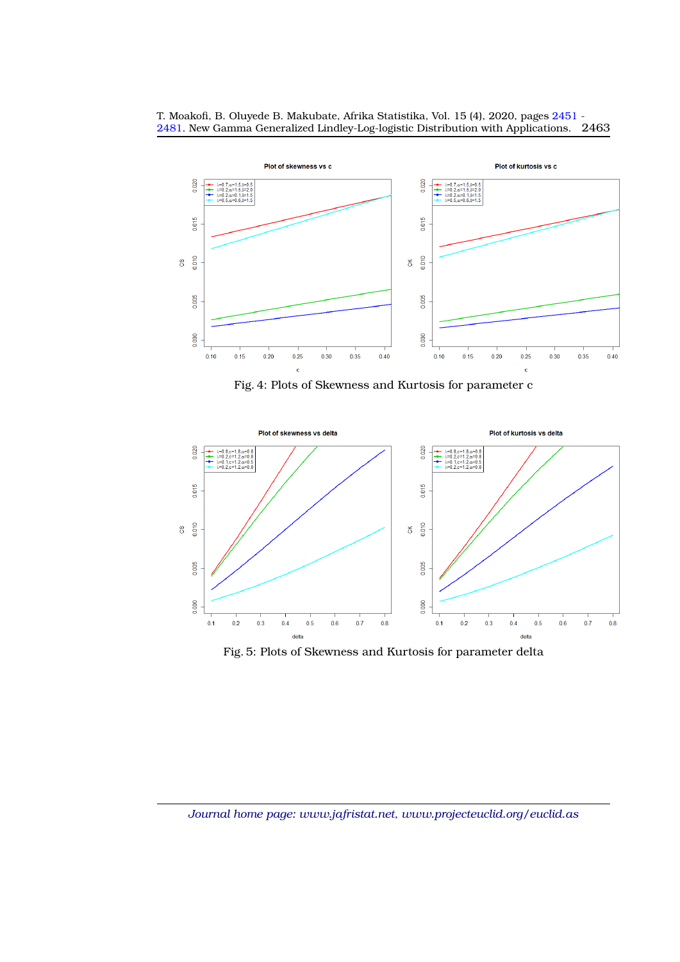<span id="page-12-0"></span>

T. Moakofi, B. Oluyede B. Makubate, Afrika Statistika, Vol. 15 (4), 2020, pages [2451](#page-0-0) - [2481.](#page-27-0) New Gamma Generalized Lindley-Log-logistic Distribution with Applications. 2463

Fig. 4: Plots of Skewness and Kurtosis for parameter c

<span id="page-12-1"></span>

Fig. 5: Plots of Skewness and Kurtosis for parameter delta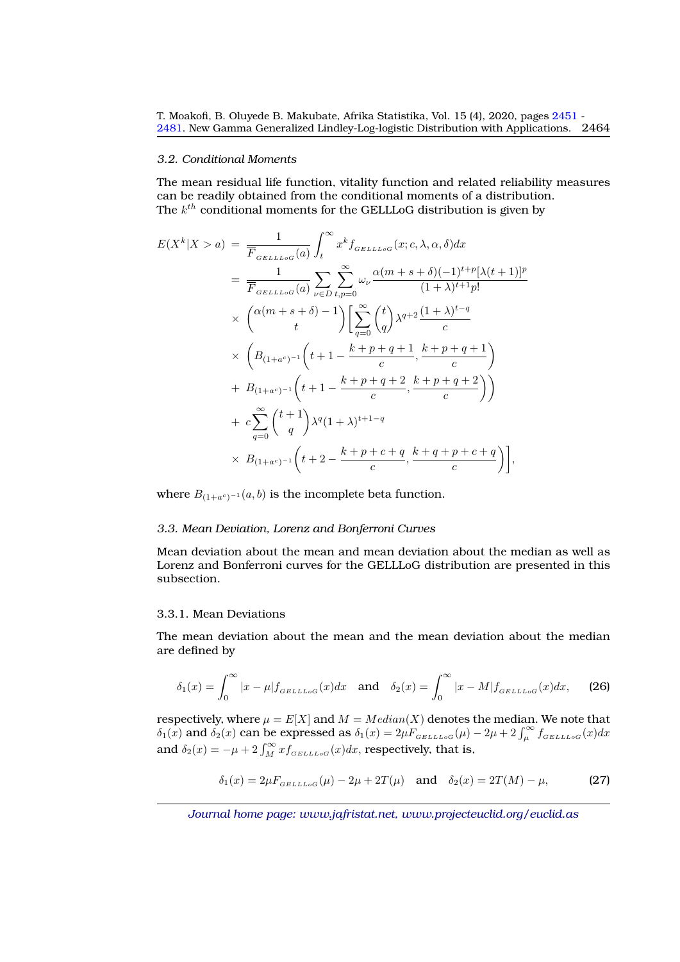#### *3.2. Conditional Moments*

The mean residual life function, vitality function and related reliability measures can be readily obtained from the conditional moments of a distribution. The  $k^{th}$  conditional moments for the GELLLoG distribution is given by

$$
E(X^{k}|X>a) = \frac{1}{\overline{F}_{GELLLoG}(a)} \int_{t}^{\infty} x^{k} f_{GELLLoG}(x;c,\lambda,\alpha,\delta) dx
$$
  
\n
$$
= \frac{1}{\overline{F}_{GELLLoG}(a)} \sum_{\nu \in D} \sum_{t,p=0}^{\infty} \omega_{\nu} \frac{\alpha(m+s+\delta)(-1)^{t+p}[\lambda(t+1)]^{p}}{(1+\lambda)^{t+1}p!}
$$
  
\n
$$
\times \left( \frac{\alpha(m+s+\delta)-1}{t} \right) \left[ \sum_{q=0}^{\infty} {t \choose q} \lambda^{q+2} \frac{(1+\lambda)^{t-q}}{c} + \frac{\alpha}{2} \left( \frac{B_{(1+a^{c})^{-1}}}{B_{(1+a^{c})^{-1}} \left( t+1 - \frac{k+p+q+1}{c}, \frac{k+p+q+2}{c} \right) \right) + B_{(1+a^{c})^{-1}} \left( t+1 - \frac{k+p+q+2}{c}, \frac{k+p+q+2}{c} \right) \right)
$$
  
\n
$$
+ c \sum_{q=0}^{\infty} {t+1 \choose q} \lambda^{q} (1+\lambda)^{t+1-q}
$$
  
\n
$$
\times B_{(1+a^{c})^{-1}} \left( t+2 - \frac{k+p+c+q}{c}, \frac{k+q+p+c+q}{c} \right),
$$

where  $B_{(1+a^c)^{-1}}(a, b)$  is the incomplete beta function.

#### *3.3. Mean Deviation, Lorenz and Bonferroni Curves*

Mean deviation about the mean and mean deviation about the median as well as Lorenz and Bonferroni curves for the GELLLoG distribution are presented in this subsection.

# 3.3.1. Mean Deviations

The mean deviation about the mean and the mean deviation about the median are defined by

$$
\delta_1(x) = \int_0^\infty |x - \mu| f_{GELLLoG}(x) dx \quad \text{and} \quad \delta_2(x) = \int_0^\infty |x - M| f_{GELLLoG}(x) dx, \tag{26}
$$

respectively, where  $\mu = E[X]$  and  $M = Median(X)$  denotes the median. We note that  $\delta_1(x)$  and  $\delta_2(x)$  can be expressed as  $\delta_1(x) = 2\mu F_{GELLLoG}(x) - 2\mu + 2\int_{\mu}^{\infty} f_{GELLLoG}(x)dx$ and  $\delta_2(x) = -\mu + 2 \int_M^{\infty} x f_{GELLLOG}(x) dx$ , respectively, that is,

$$
\delta_1(x) = 2\mu F_{GELLLoG}(\mu) - 2\mu + 2T(\mu)
$$
 and  $\delta_2(x) = 2T(M) - \mu$ , (27)

*Journal home page: www.jafristat.net, www.projecteuclid.org/euclid.as*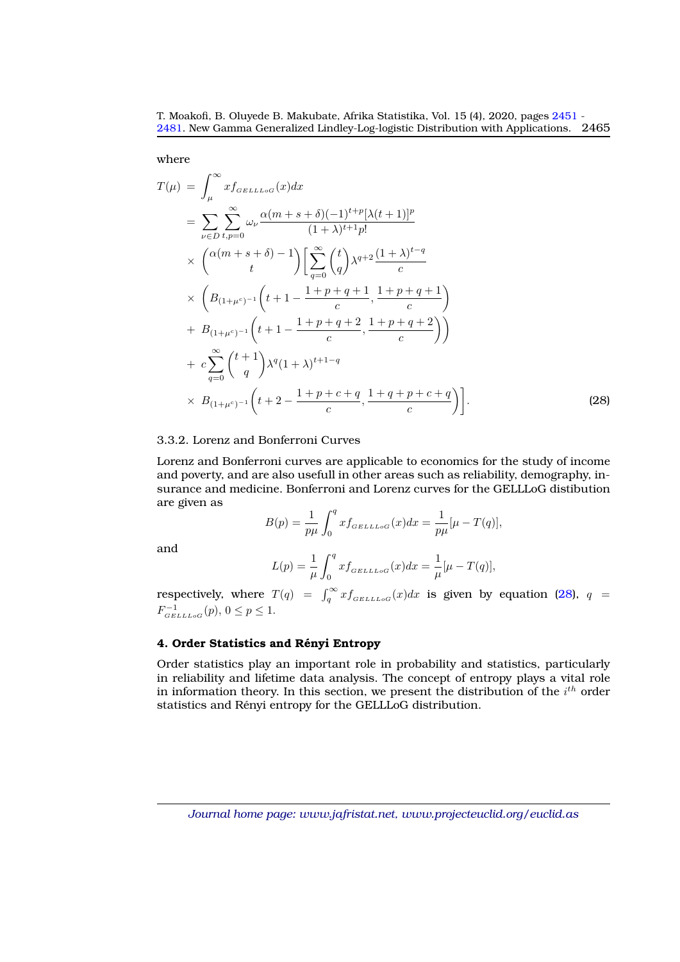where

<span id="page-14-1"></span>
$$
T(\mu) = \int_{\mu}^{\infty} x f_{GELLLoG}(x) dx
$$
  
\n
$$
= \sum_{\nu \in D} \sum_{t, p=0}^{\infty} \omega_{\nu} \frac{\alpha (m+s+\delta)(-1)^{t+p} [\lambda(t+1)]^{p}}{(1+\lambda)^{t+1} p!}
$$
  
\n
$$
\times \left( \alpha (m+s+\delta) - 1 \right) \left[ \sum_{q=0}^{\infty} {t \choose q} \lambda^{q+2} \frac{(1+\lambda)^{t-q}}{c} \right]
$$
  
\n
$$
\times \left( B_{(1+\mu^{c})^{-1}} \left( t+1 - \frac{1+p+q+1}{c}, \frac{1+p+q+1}{c} \right) + B_{(1+\mu^{c})^{-1}} \left( t+1 - \frac{1+p+q+2}{c}, \frac{1+p+q+2}{c} \right) \right)
$$
  
\n
$$
+ c \sum_{q=0}^{\infty} {t+1 \choose q} \lambda^{q} (1+\lambda)^{t+1-q}
$$
  
\n
$$
\times B_{(1+\mu^{c})^{-1}} \left( t+2 - \frac{1+p+c+q}{c}, \frac{1+q+p+c+q}{c} \right).
$$
\n(28)

## 3.3.2. Lorenz and Bonferroni Curves

Lorenz and Bonferroni curves are applicable to economics for the study of income and poverty, and are also usefull in other areas such as reliability, demography, insurance and medicine. Bonferroni and Lorenz curves for the GELLLoG distibution are given as

$$
B(p) = \frac{1}{p\mu} \int_0^q x f_{GELLLOG}(x) dx = \frac{1}{p\mu} [\mu - T(q)],
$$

and

$$
L(p) = \frac{1}{\mu} \int_0^q x f_{GELLLoG}(x) dx = \frac{1}{\mu} [\mu - T(q)],
$$

respectively, where  $T(q) = \int_q^{\infty} x f_{GELLLoG}(x) dx$  is given by equation [\(28\)](#page-14-1),  $q =$  $F_{GELLLoG}^{-1}(p), 0 \le p \le 1.$ 

# <span id="page-14-0"></span>**4. Order Statistics and Renyi Entropy ´**

Order statistics play an important role in probability and statistics, particularly in reliability and lifetime data analysis. The concept of entropy plays a vital role in information theory. In this section, we present the distribution of the  $i^{th}$  order statistics and Rényi entropy for the GELLLoG distribution.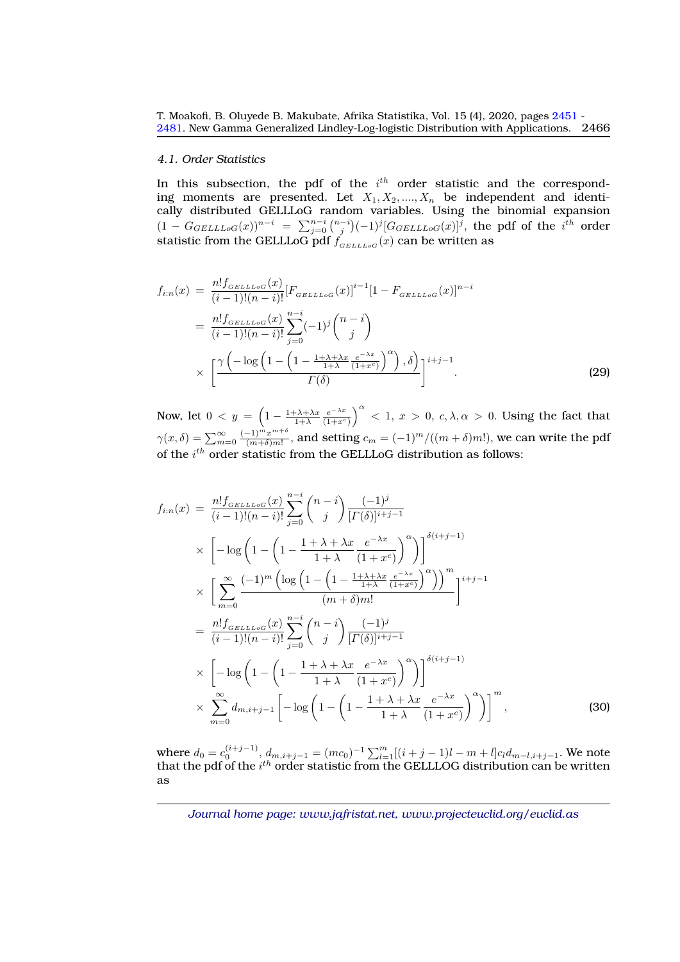#### *4.1. Order Statistics*

In this subsection, the pdf of the  $i<sup>th</sup>$  order statistic and the corresponding moments are presented. Let  $X_1, X_2, ..., X_n$  be independent and identically distributed GELLLoG random variables. Using the binomial expansion  $(1-G_{GELLLoG}(x))^{n-i} = \sum_{j=0}^{n-i} \binom{n-i}{j} (-1)^j [G_{GELLLoG}(x)]^j$ , the pdf of the  $i^{th}$  order statistic from the GELLLoG pdf  $f_{\scriptscriptstyle GELLLoG}(x)$  can be written as

$$
f_{i:n}(x) = \frac{n! f_{GELLLoG}(x)}{(i-1)!(n-i)!} [F_{GELLLoG}(x)]^{i-1} [1 - F_{GELLLoG}(x)]^{n-i}
$$
  

$$
= \frac{n! f_{GELLLoG}(x)}{(i-1)!(n-i)!} \sum_{j=0}^{n-i} (-1)^j {n-i \choose j}
$$
  

$$
\times \left[ \frac{\gamma \left(-\log\left(1 - \left(1 - \frac{1+\lambda+\lambda x}{1+\lambda} \frac{e^{-\lambda x}}{(1+x^c)}\right)^{\alpha}\right), \delta\right)}{\Gamma(\delta)} \right]^{i+j-1} .
$$
 (29)

Now, let  $0 < y = \left(1 - \frac{1 + \lambda + \lambda x}{1 + \lambda} \frac{e^{-\lambda x}}{(1 + x^c)}\right)$  $\frac{e^{-\lambda x}}{(1+x^c)}\Big)^{\alpha}$  < 1,  $x > 0$ ,  $c, \lambda, \alpha > 0$ . Using the fact that  $\gamma(x,\delta) = \sum_{m=0}^{\infty} \frac{(-1)^m x^{m+\delta}}{(m+\delta)m!}$  $\frac{(-1)^m x^{m+\sigma}}{(m+\delta)m!}$ , and setting  $c_m = (-1)^m/((m+\delta)m!)$ , we can write the pdf of the  $i^{th}$  order statistic from the GELLLoG distribution as follows:

$$
f_{i:n}(x) = \frac{n! f_{GELLoG}(x)}{(i-1)!(n-i)!} \sum_{j=0}^{n-i} {n-i \choose j} \frac{(-1)^j}{[T(\delta)]^{i+j-1}}
$$
  
\n
$$
\times \left[ -\log \left( 1 - \left( 1 - \frac{1+\lambda+\lambda x}{1+\lambda} \frac{e^{-\lambda x}}{(1+x^c)} \right)^{\alpha} \right) \right]^{\delta(i+j-1)}
$$
  
\n
$$
\times \left[ \sum_{m=0}^{\infty} \frac{(-1)^m \left( \log \left( 1 - \left( 1 - \frac{1+\lambda+\lambda x}{1+\lambda} \frac{e^{-\lambda x}}{(1+x^c)} \right)^{\alpha} \right) \right)^m}{(m+\delta)m!} \right]^{i+j-1}
$$
  
\n
$$
= \frac{n! f_{GELLoG}(x)}{(i-1)!(n-i)!} \sum_{j=0}^{n-i} {n-i \choose j} \frac{(-1)^j}{[T(\delta)]^{i+j-1}}
$$
  
\n
$$
\times \left[ -\log \left( 1 - \left( 1 - \frac{1+\lambda+\lambda x}{1+\lambda} \frac{e^{-\lambda x}}{(1+x^c)} \right)^{\alpha} \right) \right]^{\delta(i+j-1)}
$$
  
\n
$$
\times \sum_{m=0}^{\infty} d_{m,i+j-1} \left[ -\log \left( 1 - \left( 1 - \frac{1+\lambda+\lambda x}{1+\lambda} \frac{e^{-\lambda x}}{(1+x^c)} \right)^{\alpha} \right) \right]^m,
$$
\n(30)

where  $d_0 = c_0^{(i+j-1)}$ ,  $d_{m,i+j-1} = (mc_0)^{-1} \sum_{l=1}^{m} [(i+j-1)l - m + l] c_l d_{m-l,i+j-1}$ . We note that the pdf of the  $i^{th}$  order statistic from the GELLLOG distribution can be written as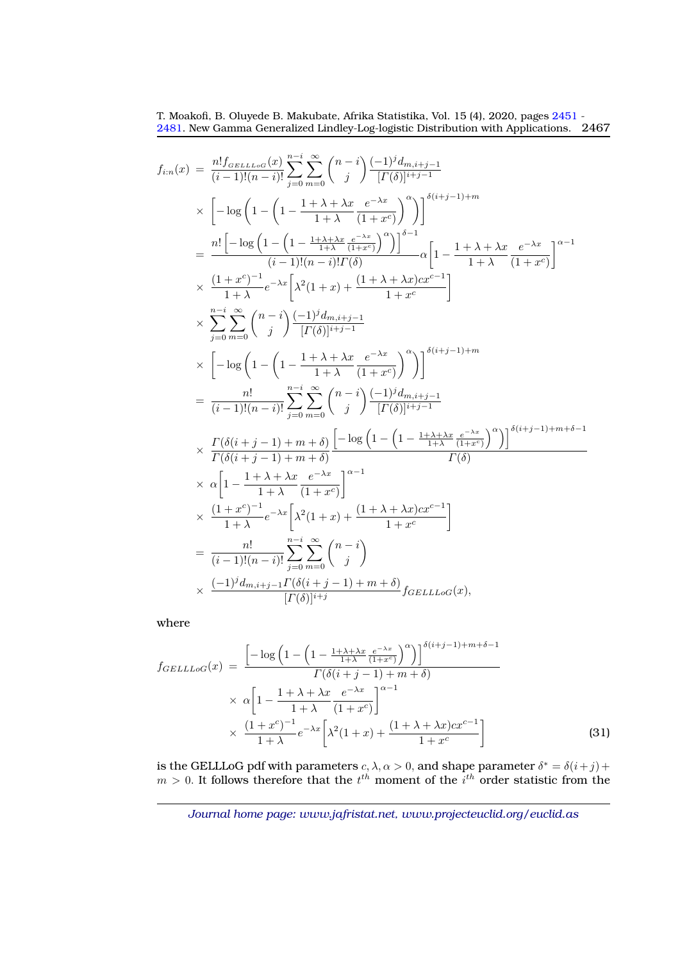$$
f_{i:n}(x) = \frac{n! f_{GELLLoG}(x)}{(i-1)!(n-i)!} \sum_{j=0}^{n-i} \sum_{m=0}^{\infty} {n-i \choose j} \frac{(-1)^j d_{m,i+j-1}}{[I(\delta)]^{i+j-1}}
$$
  
\n
$$
\times \left[ -\log \left( 1 - \left( 1 - \frac{1 + \lambda + \lambda x}{1 + \lambda} \frac{e^{-\lambda x}}{(1 + x^c)} \right)^{\alpha} \right) \right]^{5(i+j-1)+m}
$$
  
\n
$$
= \frac{n! \left[ -\log \left( 1 - \left( 1 - \frac{1 + \lambda + \lambda x}{1 + \lambda} \frac{e^{-\lambda x}}{(1 + x^c)} \right)^{\alpha} \right) \right]^{5-1}}{(i-1)!(n-i)! I(\delta)} \alpha \left[ 1 - \frac{1 + \lambda + \lambda x}{1 + \lambda} \frac{e^{-\lambda x}}{(1 + x^c)} \right]^{2-1}
$$
  
\n
$$
\times \frac{(1 + x^c)^{-1}}{1 + \lambda} e^{-\lambda x} \left[ \lambda^2 (1 + x) + \frac{(1 + \lambda + \lambda x) c x^{c-1}}{1 + x^c} \right]
$$
  
\n
$$
\times \sum_{j=0}^{n-i} \sum_{m=0}^{\infty} {n-i \choose j} \frac{(-1)^j d_{m,i+j-1}}{[I(\delta)]^{i+j-1}}
$$
  
\n
$$
\times \left[ -\log \left( 1 - \left( 1 - \frac{1 + \lambda + \lambda x}{1 + \lambda} \frac{e^{-\lambda x}}{(1 + x^c)} \right)^{\alpha} \right) \right]^{5(i+j-1)+m}
$$
  
\n
$$
= \frac{n!}{(i-1)!(n-i)!} \sum_{j=0}^{n-i} \sum_{m=0}^{\infty} {n-i \choose j} \frac{(-1)^j d_{m,i+j-1}}{[I(\delta)]^{i+j-1}}
$$
  
\n
$$
\times \frac{I(\delta(i+j-1) + m + \delta)}{I(\delta(i+j-1) + m + \delta)} \left[ -\log \left( 1 - \left( 1 - \frac{1 + \lambda + \lambda x}{1 + \lambda} \frac{e^{-\lambda x}}{(1 + x^c)} \right)^{\alpha} \right) \right]^{5(i+j-1)+m+\delta-1}
$$
  
\n

where

$$
f_{GELLLoG}(x) = \frac{\left[-\log\left(1 - \left(1 - \frac{1 + \lambda + \lambda x}{1 + \lambda} \frac{e^{-\lambda x}}{(1 + x^c)}\right)^{\alpha}\right)\right]^{\delta(i+j-1) + m + \delta - 1}}{\Gamma(\delta(i+j-1) + m + \delta)}
$$

$$
\times \alpha \left[1 - \frac{1 + \lambda + \lambda x}{1 + \lambda} \frac{e^{-\lambda x}}{(1 + x^c)}\right]^{\alpha - 1}
$$

$$
\times \frac{(1 + x^c)^{-1}}{1 + \lambda} e^{-\lambda x} \left[\lambda^2(1 + x) + \frac{(1 + \lambda + \lambda x)cx^{c-1}}{1 + x^c}\right]
$$
(31)

is the GELLLoG pdf with parameters  $c, \lambda, \alpha > 0$ , and shape parameter  $\delta^* = \delta(i + j) + \delta(i + j)$  $m > 0$ . It follows therefore that the  $t^{th}$  moment of the  $i^{th}$  order statistic from the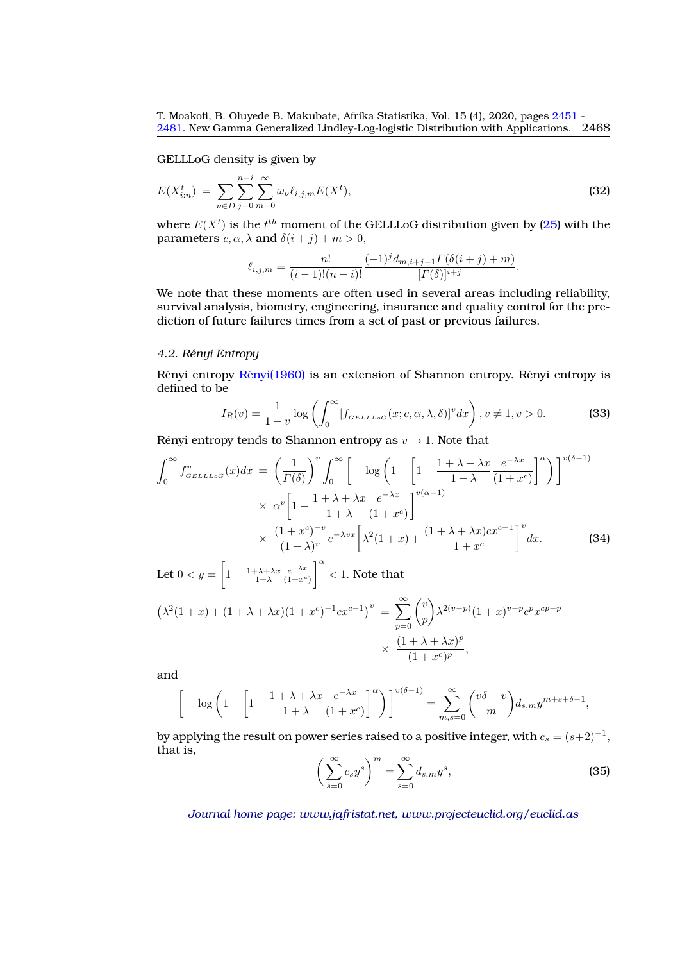GELLLoG density is given by

$$
E(X_{i:n}^t) = \sum_{\nu \in D} \sum_{j=0}^{n-i} \sum_{m=0}^{\infty} \omega_{\nu} \ell_{i,j,m} E(X^t), \tag{32}
$$

where  $E(X^t)$  is the  $t^{th}$  moment of the GELLLoG distribution given by [\(25\)](#page-10-1) with the parameters  $c, \alpha, \lambda$  and  $\delta(i + j) + m > 0$ ,

$$
\ell_{i,j,m} = \frac{n!}{(i-1)!(n-i)!} \frac{(-1)^j d_{m,i+j-1} \Gamma(\delta(i+j) + m)}{[\Gamma(\delta)]^{i+j}}.
$$

We note that these moments are often used in several areas including reliability, survival analysis, biometry, engineering, insurance and quality control for the prediction of future failures times from a set of past or previous failures.

#### *4.2. Renyi Entropy ´*

Rényi entropy  $R$ ényi $(1960)$  is an extension of Shannon entropy. Rényi entropy is defined to be

$$
I_R(v) = \frac{1}{1-v} \log \left( \int_0^\infty [f_{GELLLoG}(x; c, \alpha, \lambda, \delta)]^v dx \right), v \neq 1, v > 0.
$$
 (33)

Rényi entropy tends to Shannon entropy as  $v \to 1$ . Note that

$$
\int_0^\infty f_{GELLLoG}^v(x)dx = \left(\frac{1}{\Gamma(\delta)}\right)^v \int_0^\infty \left[-\log\left(1 - \left[1 - \frac{1 + \lambda + \lambda x}{1 + \lambda} \frac{e^{-\lambda x}}{(1 + x^c)}\right]^\alpha\right)\right]^{v(\delta - 1)} \times \alpha^v \left[1 - \frac{1 + \lambda + \lambda x}{1 + \lambda} \frac{e^{-\lambda x}}{(1 + \lambda)^v}\right]^{v(\alpha - 1)} \times \frac{(1 + x^c)^{-v}}{(1 + \lambda)^v} e^{-\lambda vx} \left[\lambda^2(1 + x) + \frac{(1 + \lambda + \lambda x)cx^{c-1}}{1 + x^c}\right]^v dx.
$$
 (34)

Let  $0 < y = \left[1 - \frac{1 + \lambda + \lambda x}{1 + \lambda} \frac{e^{-\lambda x}}{(1 + x^c)}\right]$  $(1+x^c)$  $\int_0^{\alpha}$  < 1. Note that

$$
(\lambda^{2}(1+x) + (1+\lambda+\lambda x)(1+x^{c})^{-1}cx^{c-1})^{v} = \sum_{p=0}^{\infty} {v \choose p} \lambda^{2(v-p)}(1+x)^{v-p}c^{p}x^{cp-p}
$$

$$
\times \frac{(1+\lambda+\lambda x)^{p}}{(1+x^{c})^{p}},
$$

and

$$
\left[-\log\left(1-\left[1-\frac{1+\lambda+\lambda x}{1+\lambda}\frac{e^{-\lambda x}}{(1+x^c)}\right]^\alpha\right)\right]^{v(\delta-1)} = \sum_{m,s=0}^\infty \binom{v\delta-v}{m} d_{s,m} y^{m+s+\delta-1},
$$

by applying the result on power series raised to a positive integer, with  $c_s = (s+2)^{-1},$ that is,

$$
\left(\sum_{s=0}^{\infty} c_s y^s\right)^m = \sum_{s=0}^{\infty} d_{s,m} y^s,
$$
\n(35)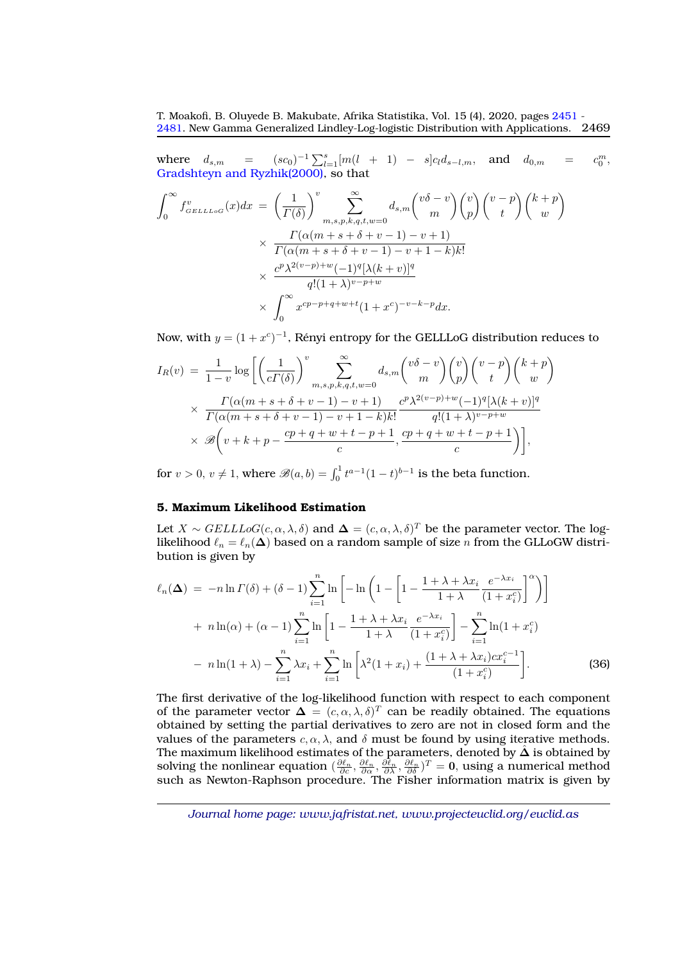where  $d_{s,m} = (sc_0)^{-1} \sum_{l=1}^{s} [m(l + 1) - s] c_l d_{s-l,m}$ , and  $d_{0,m} = c$  $\substack{m \\ 0}$ , [Gradshteyn and Ryzhik\(2000\),](#page-27-9) so that

$$
\int_0^\infty f_{GELL_{LOG}}^v(x)dx = \left(\frac{1}{\Gamma(\delta)}\right)^v \sum_{m,s,p,k,q,t,w=0}^\infty d_{s,m} \binom{v\delta-v}{m} \binom{v}{p} \binom{v-p}{t} \binom{k+p}{w}
$$

$$
\times \frac{\Gamma(\alpha(m+s+\delta+v-1)-v+1)}{\Gamma(\alpha(m+s+\delta+v-1)-v+1-k)k!}
$$

$$
\times \frac{c^p \lambda^{2(v-p)+w} (-1)^q [\lambda(k+v)]^q}{q!(1+\lambda)^{v-p+w}}
$$

$$
\times \int_0^\infty x^{cp-p+q+w+t} (1+x^c)^{-v-k-p} dx.
$$

Now, with  $y = (1 + x^c)^{-1}$ , Rényi entropy for the GELLLoG distribution reduces to

$$
I_R(v) = \frac{1}{1-v} \log \left[ \left( \frac{1}{c\Gamma(\delta)} \right)^v \sum_{m,s,p,k,q,t,w=0}^{\infty} d_{s,m} \binom{v\delta-v}{m} \binom{v}{p} \binom{v-p}{t} \binom{k+p}{w} \right] \times \frac{\Gamma(\alpha(m+s+\delta+v-1)-v+1)}{\Gamma(\alpha(m+s+\delta+v-1)-v+1-k)k!} \frac{c^p \lambda^{2(v-p)+w} (-1)^q [\lambda(k+v)]^q}{q!(1+\lambda)^{v-p+w}} \times \mathcal{B}\left(v+k+p-\frac{cp+q+w+t-p+1}{c}, \frac{cp+q+w+t-p+1}{c}\right),
$$

for  $v > 0$ ,  $v \neq 1$ , where  $\mathscr{B}(a, b) = \int_0^1 t^{a-1} (1-t)^{b-1}$  is the beta function.

# <span id="page-18-0"></span>**5. Maximum Likelihood Estimation**

Let  $X \sim \text{GELLLoG}(c, \alpha, \lambda, \delta)$  and  $\Delta = (c, \alpha, \lambda, \delta)^T$  be the parameter vector. The loglikelihood  $\ell_n = \ell_n(\Delta)$  based on a random sample of size n from the GLLoGW distribution is given by

$$
\ell_n(\Delta) = -n \ln \Gamma(\delta) + (\delta - 1) \sum_{i=1}^n \ln \left[ -\ln \left( 1 - \left[ 1 - \frac{1 + \lambda + \lambda x_i}{1 + \lambda} \frac{e^{-\lambda x_i}}{(1 + x_i^c)} \right]^{\alpha} \right) \right]
$$
  
+ 
$$
n \ln(\alpha) + (\alpha - 1) \sum_{i=1}^n \ln \left[ 1 - \frac{1 + \lambda + \lambda x_i}{1 + \lambda} \frac{e^{-\lambda x_i}}{(1 + x_i^c)} \right] - \sum_{i=1}^n \ln(1 + x_i^c)
$$
  
- 
$$
n \ln(1 + \lambda) - \sum_{i=1}^n \lambda x_i + \sum_{i=1}^n \ln \left[ \lambda^2 (1 + x_i) + \frac{(1 + \lambda + \lambda x_i) c x_i^{c-1}}{(1 + x_i^c)} \right].
$$
 (36)

The first derivative of the log-likelihood function with respect to each component of the parameter vector  $\Delta = (c, \alpha, \lambda, \delta)^T$  can be readily obtained. The equations obtained by setting the partial derivatives to zero are not in closed form and the values of the parameters  $c, \alpha, \lambda$ , and  $\delta$  must be found by using iterative methods. The maximum likelihood estimates of the parameters, denoted by  $\hat{\Delta}$  is obtained by solving the nonlinear equation  $(\frac{\partial \ell_n}{\partial c}, \frac{\partial \ell_n}{\partial \alpha}, \frac{\partial \ell_n}{\partial \lambda}, \frac{\partial \ell_n}{\partial \delta})^T = 0$ , using a numerical method such as Newton-Raphson procedure. The Fisher information matrix is given by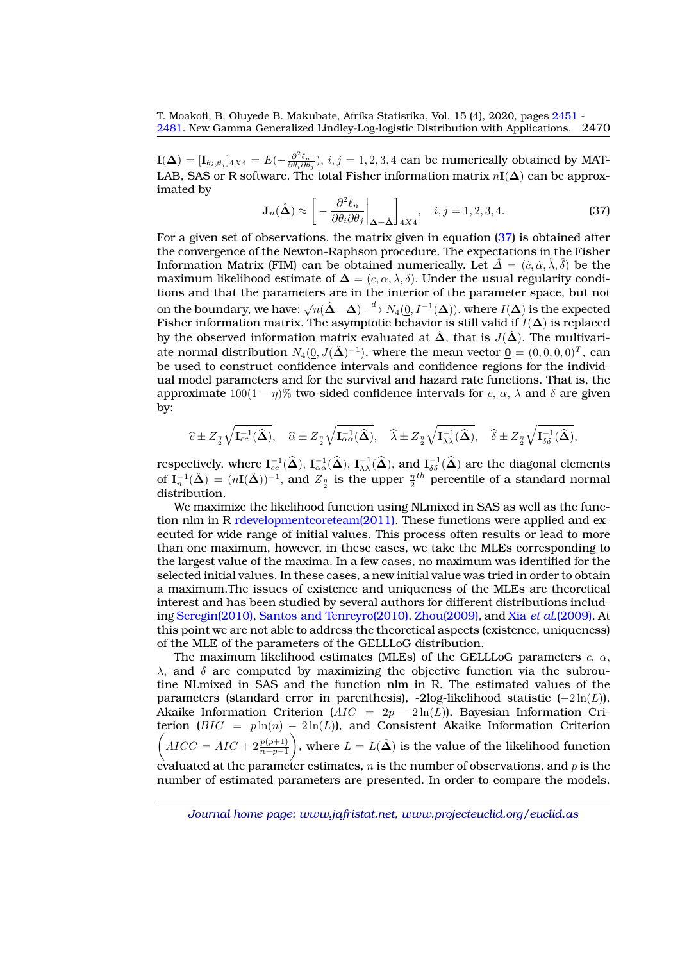${\bf I}(\bm{\Delta})=[{\bf I}_{\theta_i,\theta_j}]_{4X4}=E(-\frac{\partial^2\ell_n}{\partial\theta_i\partial\theta_j}),\,i,j=1,2,3,4$  can be numerically obtained by MAT-LAB, SAS or R software. The total Fisher information matrix  $nI(\Delta)$  can be approximated by

<span id="page-19-0"></span>
$$
\mathbf{J}_n(\hat{\boldsymbol{\Delta}}) \approx \left[ -\frac{\partial^2 \ell_n}{\partial \theta_i \partial \theta_j} \bigg|_{\boldsymbol{\Delta} = \hat{\boldsymbol{\Delta}}} \right]_{4X4}, \quad i, j = 1, 2, 3, 4. \tag{37}
$$

For a given set of observations, the matrix given in equation [\(37\)](#page-19-0) is obtained after the convergence of the Newton-Raphson procedure. The expectations in the Fisher Information Matrix (FIM) can be obtained numerically. Let  $\hat{\Delta} = (\hat{c}, \hat{\alpha}, \hat{\lambda}, \hat{\delta})$  be the maximum likelihood estimate of  $\Delta = (c, \alpha, \lambda, \delta)$ . Under the usual regularity conditions and that the parameters are in the interior of the parameter space, but not on the boundary, we have:  $\sqrt{n}(\hat{\Delta} - \Delta) \stackrel{d}{\longrightarrow} N_4(0, I^{-1}(\Delta))$ , where  $I(\Delta)$  is the expected Fisher information matrix. The asymptotic behavior is still valid if  $I(\Delta)$  is replaced by the observed information matrix evaluated at  $\hat{\Delta}$ , that is  $J(\hat{\Delta})$ . The multivariate normal distribution  $N_4(\underline{0},J(\hat{\bm \Delta})^{-1}),$  where the mean vector  $\underline{\bm 0}=(0,0,0,0)^T,$  can be used to construct confidence intervals and confidence regions for the individual model parameters and for the survival and hazard rate functions. That is, the approximate  $100(1 - \eta)\%$  two-sided confidence intervals for c,  $\alpha$ ,  $\lambda$  and  $\delta$  are given by:

$$
\widehat{c} \pm Z_{\frac{\eta}{2}}\sqrt{\mathbf{I}_{cc}^{-1}(\widehat{\boldsymbol{\Delta}})}, \quad \widehat{\alpha} \pm Z_{\frac{\eta}{2}}\sqrt{\mathbf{I}_{\alpha\alpha}^{-1}(\widehat{\boldsymbol{\Delta}})}, \quad \widehat{\lambda} \pm Z_{\frac{\eta}{2}}\sqrt{\mathbf{I}_{\lambda\lambda}^{-1}(\widehat{\boldsymbol{\Delta}})}, \quad \widehat{\delta} \pm Z_{\frac{\eta}{2}}\sqrt{\mathbf{I}_{\delta\delta}^{-1}(\widehat{\boldsymbol{\Delta}})},
$$

respectively, where  $I_{cc}^{-1}(\widehat{\boldsymbol{\Delta}}), I_{\alpha\alpha}^{-1}(\widehat{\boldsymbol{\Delta}}), I_{\lambda\lambda}^{-1}(\widehat{\boldsymbol{\Delta}}),$  and  $I_{\delta\delta}^{-1}(\widehat{\boldsymbol{\Delta}})$  are the diagonal elements of  $I_n^{-1}(\hat{\Delta}) = (nI(\hat{\Delta}))^{-1}$ , and  $Z_{\frac{n}{2}}$  is the upper  $\frac{n}{2}$ <sup>th</sup> percentile of a standard normal distribution.

We maximize the likelihood function using NLmixed in SAS as well as the function nlm in R [rdevelopmentcoreteam\(2011\).](#page-27-11) These functions were applied and executed for wide range of initial values. This process often results or lead to more than one maximum, however, in these cases, we take the MLEs corresponding to the largest value of the maxima. In a few cases, no maximum was identified for the selected initial values. In these cases, a new initial value was tried in order to obtain a maximum.The issues of existence and uniqueness of the MLEs are theoretical interest and has been studied by several authors for different distributions including [Seregin\(2010\),](#page-27-12) [Santos and Tenreyro\(2010\),](#page-27-13) [Zhou\(2009\),](#page-28-1) and Xia *et al.*[\(2009\).](#page-27-14) At this point we are not able to address the theoretical aspects (existence, uniqueness) of the MLE of the parameters of the GELLLoG distribution.

The maximum likelihood estimates (MLEs) of the GELLLoG parameters  $c, \alpha$ ,  $\lambda$ , and  $\delta$  are computed by maximizing the objective function via the subroutine NLmixed in SAS and the function nlm in R. The estimated values of the parameters (standard error in parenthesis), -2log-likelihood statistic  $(-2\ln(L))$ , Akaike Information Criterion ( $AIC = 2p - 2\ln(L)$ ), Bayesian Information Criterion  $(BIC = p \ln(n) - 2 \ln(L))$ , and Consistent Akaike Information Criterion  $\left(AICC=AIC+2\frac{p(p+1)}{n-p-1}\right)$ ), where  $L = L(\hat{\Delta})$  is the value of the likelihood function evaluated at the parameter estimates,  $n$  is the number of observations, and  $p$  is the number of estimated parameters are presented. In order to compare the models,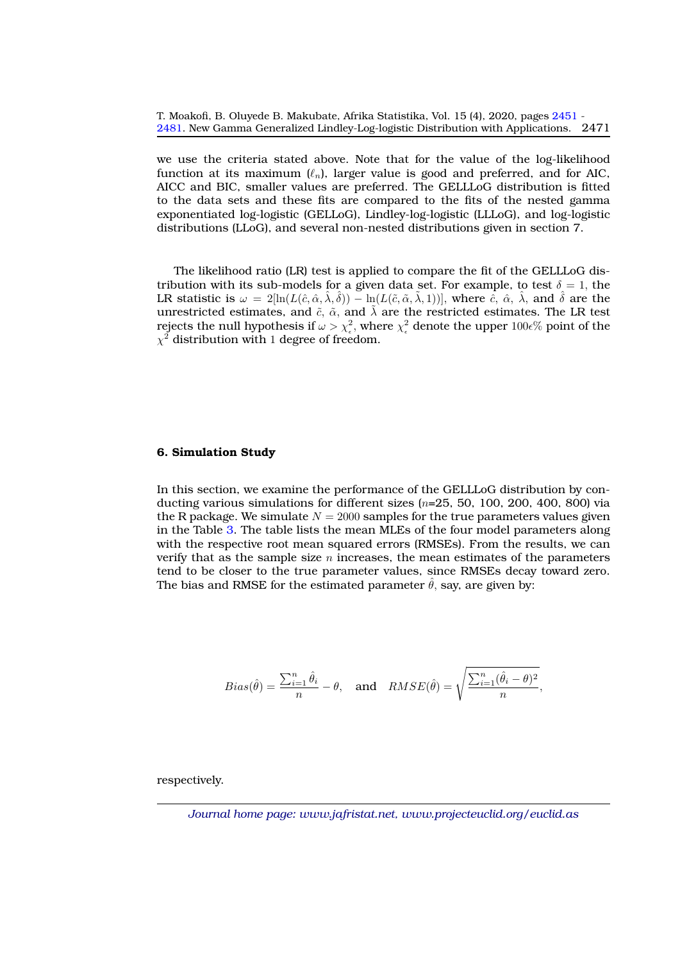we use the criteria stated above. Note that for the value of the log-likelihood function at its maximum  $(\ell_n)$ , larger value is good and preferred, and for AIC, AICC and BIC, smaller values are preferred. The GELLLoG distribution is fitted to the data sets and these fits are compared to the fits of the nested gamma exponentiated log-logistic (GELLoG), Lindley-log-logistic (LLLoG), and log-logistic distributions (LLoG), and several non-nested distributions given in section 7.

The likelihood ratio (LR) test is applied to compare the fit of the GELLLoG distribution with its sub-models for a given data set. For example, to test  $\delta = 1$ , the LR statistic is  $\omega = 2[\ln(L(\hat{c}, \hat{\alpha}, \hat{\lambda}, \hat{\delta})) - \ln(L(\tilde{c}, \tilde{\alpha}, \tilde{\lambda}, 1))],$  where  $\hat{c}$ ,  $\hat{\alpha}$ ,  $\hat{\lambda}$ , and  $\hat{\delta}$  are the unrestricted estimates, and  $\tilde{c}$ ,  $\tilde{\alpha}$ , and  $\tilde{\lambda}$  are the restricted estimates. The LR test rejects the null hypothesis if  $\omega>\chi_\epsilon^2,$  where  $\chi_\epsilon^2$  denote the upper  $100\epsilon\%$  point of the  $\chi^2$  distribution with 1 degree of freedom.

#### <span id="page-20-0"></span>**6. Simulation Study**

In this section, we examine the performance of the GELLLoG distribution by conducting various simulations for different sizes  $(n=25, 50, 100, 200, 400, 800)$  via the R package. We simulate  $N = 2000$  samples for the true parameters values given in the Table [3.](#page-21-1) The table lists the mean MLEs of the four model parameters along with the respective root mean squared errors (RMSEs). From the results, we can verify that as the sample size n increases, the mean estimates of the parameters tend to be closer to the true parameter values, since RMSEs decay toward zero. The bias and RMSE for the estimated parameter  $\hat{\theta}$ , say, are given by:

$$
Bias(\hat{\theta}) = \frac{\sum_{i=1}^{n} \hat{\theta}_i}{n} - \theta, \text{ and } RMSE(\hat{\theta}) = \sqrt{\frac{\sum_{i=1}^{n} (\hat{\theta}_i - \theta)^2}{n}},
$$

respectively.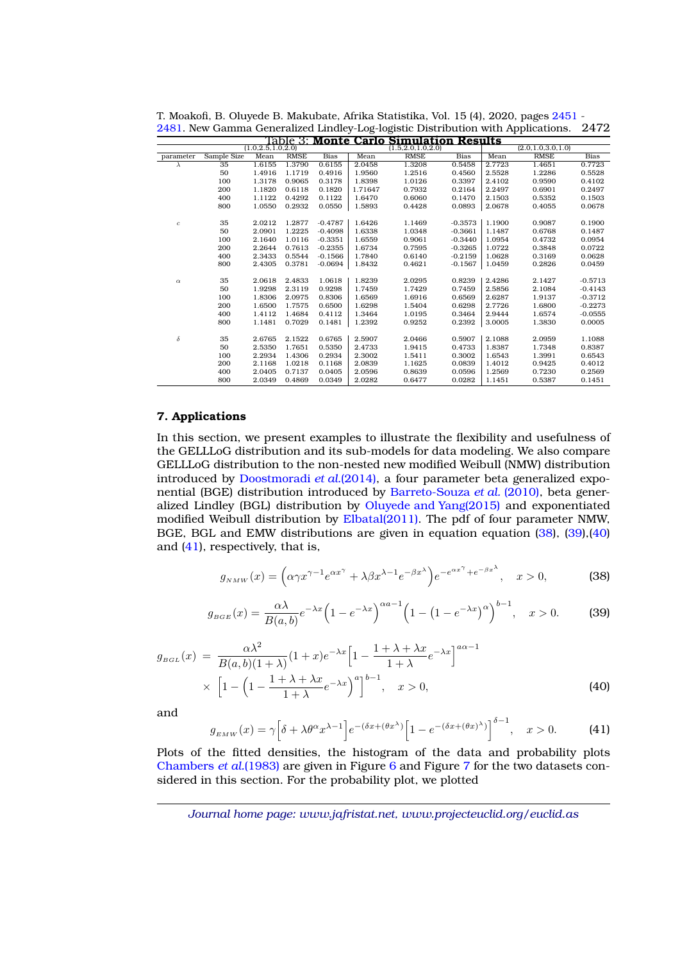<span id="page-21-1"></span>

| (1.0, 2.5, 1.0, 2.0)<br>(2.0, 1.0, 3.0, 1.0)<br>Sample Size<br><b>RMSE</b><br>Mean<br><b>RMSE</b><br>Mean<br><b>RMSE</b><br><b>Bias</b><br>Mean<br><b>Bias</b><br><b>Bias</b><br>parameter<br>35<br>1.6155<br>0.6155<br>1.3208<br>2.7723<br>1.4651<br>0.7723<br>1.3790<br>2.0458<br>0.5458<br>$\lambda$<br>50<br>1.4916<br>0.4916<br>1.9560<br>1.2516<br>1.2286<br>1.1719<br>0.4560<br>2.5528<br>0.5528<br>100<br>1.3178<br>0.9065<br>0.3178<br>1.8398<br>1.0126<br>0.3397<br>2.4102<br>0.9590<br>0.4102<br>200<br>1.1820<br>0.6118<br>0.1820<br>1.71647<br>2.2497<br>0.6901<br>0.2497<br>0.7932<br>0.2164<br>400<br>1.1122<br>0.4292<br>0.1122<br>1.6470<br>0.6060<br>0.1470<br>2.1503<br>0.5352<br>0.1503<br>800<br>1.0550<br>1.5893<br>2.0678<br>0.4055<br>0.0678<br>0.2932<br>0.0550<br>0.4428<br>0.0893<br>35<br>1.2877<br>1.6426<br>1.1900<br>0.9087<br>0.1900<br>2.0212<br>$-0.4787$<br>1.1469<br>$-0.3573$<br>$\boldsymbol{c}$<br>50<br>2.0901<br>1.2225<br>$-0.4098$<br>1.6338<br>1.0348<br>$-0.3661$<br>1.1487<br>0.6768<br>0.1487<br>100<br>2.1640<br>$-0.3351$<br>1.6559<br>0.4732<br>0.0954<br>1.0116<br>0.9061<br>$-0.3440$<br>1.0954<br>200<br>2.2644<br>0.7613<br>$-0.2355$<br>1.6734<br>0.7595<br>$-0.3265$<br>1.0722<br>0.3848<br>0.0722<br>400<br>2.3433<br>0.5544<br>$-0.1566$<br>1.7840<br>0.6140<br>$-0.2159$<br>1.0628<br>0.3169<br>0.0628<br>800<br>2.4305<br>0.3781<br>$-0.0694$<br>1.8432<br>0.4621<br>$-0.1567$<br>1.0459<br>0.2826<br>0.0459<br>2.4286<br>35<br>2.0618<br>2.4833<br>1.0618<br>1.8239<br>2.0295<br>0.8239<br>2.1427<br>$-0.5713$<br>$\alpha$<br>50<br>0.9298<br>1.9298<br>2.3119<br>1.7459<br>1.7429<br>0.7459<br>2.5856<br>2.1084<br>$-0.4143$<br>100<br>1.8306<br>0.8306<br>1.6569<br>1.6916<br>2.6287<br>1.9137<br>$-0.3712$<br>2.0975<br>0.6569<br>200<br>1.6500<br>1.7575<br>0.6500<br>1.6298<br>1.5404<br>0.6298<br>2.7726<br>1.6800<br>$-0.2273$<br>400<br>1.4112<br>1.4684<br>0.4112<br>1.3464<br>1.0195<br>0.3464<br>2.9444<br>1.6574<br>$-0.0555$<br>800<br>1.1481<br>0.7029<br>0.1481<br>1.2392<br>0.9252<br>0.2392<br>3.0005<br>1.3830<br>0.0005<br>$\delta$<br>35<br>0.6765<br>2.1088<br>2.6765<br>2.1522<br>2.5907<br>2.0466<br>0.5907<br>2.0959<br>1.1088<br>50<br>2.5350<br>0.5350<br>0.4733<br>0.8387<br>1.7651<br>2.4733<br>1.9415<br>1.8387<br>1.7348<br>2.3002<br>1.6543<br>100<br>2.2934<br>1.4306<br>0.2934<br>1.5411<br>0.3002<br>1.3991<br>0.6543<br>200<br>0.4012<br>2.1168<br>1.0218<br>0.1168<br>2.0839<br>1.1625<br>0.0839<br>1.4012<br>0.9425<br>400<br>2.0405<br>0.0405<br>2.0596<br>0.8639<br>0.0596<br>1.2569<br>0.7230<br>0.2569<br>0.7137<br>0.1451<br>800<br>2.0349<br>0.4869<br>0.0349<br>2.0282<br>0.6477<br>0.0282<br>1.1451<br>0.5387 | <b>Results</b><br>Table 3: Monte Carlo<br><b>Simulation</b> |  |  |  |  |  |                      |  |  |  |  |  |
|-------------------------------------------------------------------------------------------------------------------------------------------------------------------------------------------------------------------------------------------------------------------------------------------------------------------------------------------------------------------------------------------------------------------------------------------------------------------------------------------------------------------------------------------------------------------------------------------------------------------------------------------------------------------------------------------------------------------------------------------------------------------------------------------------------------------------------------------------------------------------------------------------------------------------------------------------------------------------------------------------------------------------------------------------------------------------------------------------------------------------------------------------------------------------------------------------------------------------------------------------------------------------------------------------------------------------------------------------------------------------------------------------------------------------------------------------------------------------------------------------------------------------------------------------------------------------------------------------------------------------------------------------------------------------------------------------------------------------------------------------------------------------------------------------------------------------------------------------------------------------------------------------------------------------------------------------------------------------------------------------------------------------------------------------------------------------------------------------------------------------------------------------------------------------------------------------------------------------------------------------------------------------------------------------------------------------------------------------------------------------------------------------------------------------------------------------------------------------------------------------------------------------------------------------------------------------------------------------------------------------------------------------------------------------------------------------------------------------|-------------------------------------------------------------|--|--|--|--|--|----------------------|--|--|--|--|--|
|                                                                                                                                                                                                                                                                                                                                                                                                                                                                                                                                                                                                                                                                                                                                                                                                                                                                                                                                                                                                                                                                                                                                                                                                                                                                                                                                                                                                                                                                                                                                                                                                                                                                                                                                                                                                                                                                                                                                                                                                                                                                                                                                                                                                                                                                                                                                                                                                                                                                                                                                                                                                                                                                                                                         |                                                             |  |  |  |  |  | (1.5, 2.0, 1.0, 2.0) |  |  |  |  |  |
|                                                                                                                                                                                                                                                                                                                                                                                                                                                                                                                                                                                                                                                                                                                                                                                                                                                                                                                                                                                                                                                                                                                                                                                                                                                                                                                                                                                                                                                                                                                                                                                                                                                                                                                                                                                                                                                                                                                                                                                                                                                                                                                                                                                                                                                                                                                                                                                                                                                                                                                                                                                                                                                                                                                         |                                                             |  |  |  |  |  |                      |  |  |  |  |  |
|                                                                                                                                                                                                                                                                                                                                                                                                                                                                                                                                                                                                                                                                                                                                                                                                                                                                                                                                                                                                                                                                                                                                                                                                                                                                                                                                                                                                                                                                                                                                                                                                                                                                                                                                                                                                                                                                                                                                                                                                                                                                                                                                                                                                                                                                                                                                                                                                                                                                                                                                                                                                                                                                                                                         |                                                             |  |  |  |  |  |                      |  |  |  |  |  |
|                                                                                                                                                                                                                                                                                                                                                                                                                                                                                                                                                                                                                                                                                                                                                                                                                                                                                                                                                                                                                                                                                                                                                                                                                                                                                                                                                                                                                                                                                                                                                                                                                                                                                                                                                                                                                                                                                                                                                                                                                                                                                                                                                                                                                                                                                                                                                                                                                                                                                                                                                                                                                                                                                                                         |                                                             |  |  |  |  |  |                      |  |  |  |  |  |
|                                                                                                                                                                                                                                                                                                                                                                                                                                                                                                                                                                                                                                                                                                                                                                                                                                                                                                                                                                                                                                                                                                                                                                                                                                                                                                                                                                                                                                                                                                                                                                                                                                                                                                                                                                                                                                                                                                                                                                                                                                                                                                                                                                                                                                                                                                                                                                                                                                                                                                                                                                                                                                                                                                                         |                                                             |  |  |  |  |  |                      |  |  |  |  |  |
|                                                                                                                                                                                                                                                                                                                                                                                                                                                                                                                                                                                                                                                                                                                                                                                                                                                                                                                                                                                                                                                                                                                                                                                                                                                                                                                                                                                                                                                                                                                                                                                                                                                                                                                                                                                                                                                                                                                                                                                                                                                                                                                                                                                                                                                                                                                                                                                                                                                                                                                                                                                                                                                                                                                         |                                                             |  |  |  |  |  |                      |  |  |  |  |  |
|                                                                                                                                                                                                                                                                                                                                                                                                                                                                                                                                                                                                                                                                                                                                                                                                                                                                                                                                                                                                                                                                                                                                                                                                                                                                                                                                                                                                                                                                                                                                                                                                                                                                                                                                                                                                                                                                                                                                                                                                                                                                                                                                                                                                                                                                                                                                                                                                                                                                                                                                                                                                                                                                                                                         |                                                             |  |  |  |  |  |                      |  |  |  |  |  |
|                                                                                                                                                                                                                                                                                                                                                                                                                                                                                                                                                                                                                                                                                                                                                                                                                                                                                                                                                                                                                                                                                                                                                                                                                                                                                                                                                                                                                                                                                                                                                                                                                                                                                                                                                                                                                                                                                                                                                                                                                                                                                                                                                                                                                                                                                                                                                                                                                                                                                                                                                                                                                                                                                                                         |                                                             |  |  |  |  |  |                      |  |  |  |  |  |
|                                                                                                                                                                                                                                                                                                                                                                                                                                                                                                                                                                                                                                                                                                                                                                                                                                                                                                                                                                                                                                                                                                                                                                                                                                                                                                                                                                                                                                                                                                                                                                                                                                                                                                                                                                                                                                                                                                                                                                                                                                                                                                                                                                                                                                                                                                                                                                                                                                                                                                                                                                                                                                                                                                                         |                                                             |  |  |  |  |  |                      |  |  |  |  |  |
|                                                                                                                                                                                                                                                                                                                                                                                                                                                                                                                                                                                                                                                                                                                                                                                                                                                                                                                                                                                                                                                                                                                                                                                                                                                                                                                                                                                                                                                                                                                                                                                                                                                                                                                                                                                                                                                                                                                                                                                                                                                                                                                                                                                                                                                                                                                                                                                                                                                                                                                                                                                                                                                                                                                         |                                                             |  |  |  |  |  |                      |  |  |  |  |  |
|                                                                                                                                                                                                                                                                                                                                                                                                                                                                                                                                                                                                                                                                                                                                                                                                                                                                                                                                                                                                                                                                                                                                                                                                                                                                                                                                                                                                                                                                                                                                                                                                                                                                                                                                                                                                                                                                                                                                                                                                                                                                                                                                                                                                                                                                                                                                                                                                                                                                                                                                                                                                                                                                                                                         |                                                             |  |  |  |  |  |                      |  |  |  |  |  |
|                                                                                                                                                                                                                                                                                                                                                                                                                                                                                                                                                                                                                                                                                                                                                                                                                                                                                                                                                                                                                                                                                                                                                                                                                                                                                                                                                                                                                                                                                                                                                                                                                                                                                                                                                                                                                                                                                                                                                                                                                                                                                                                                                                                                                                                                                                                                                                                                                                                                                                                                                                                                                                                                                                                         |                                                             |  |  |  |  |  |                      |  |  |  |  |  |
|                                                                                                                                                                                                                                                                                                                                                                                                                                                                                                                                                                                                                                                                                                                                                                                                                                                                                                                                                                                                                                                                                                                                                                                                                                                                                                                                                                                                                                                                                                                                                                                                                                                                                                                                                                                                                                                                                                                                                                                                                                                                                                                                                                                                                                                                                                                                                                                                                                                                                                                                                                                                                                                                                                                         |                                                             |  |  |  |  |  |                      |  |  |  |  |  |
|                                                                                                                                                                                                                                                                                                                                                                                                                                                                                                                                                                                                                                                                                                                                                                                                                                                                                                                                                                                                                                                                                                                                                                                                                                                                                                                                                                                                                                                                                                                                                                                                                                                                                                                                                                                                                                                                                                                                                                                                                                                                                                                                                                                                                                                                                                                                                                                                                                                                                                                                                                                                                                                                                                                         |                                                             |  |  |  |  |  |                      |  |  |  |  |  |
|                                                                                                                                                                                                                                                                                                                                                                                                                                                                                                                                                                                                                                                                                                                                                                                                                                                                                                                                                                                                                                                                                                                                                                                                                                                                                                                                                                                                                                                                                                                                                                                                                                                                                                                                                                                                                                                                                                                                                                                                                                                                                                                                                                                                                                                                                                                                                                                                                                                                                                                                                                                                                                                                                                                         |                                                             |  |  |  |  |  |                      |  |  |  |  |  |
|                                                                                                                                                                                                                                                                                                                                                                                                                                                                                                                                                                                                                                                                                                                                                                                                                                                                                                                                                                                                                                                                                                                                                                                                                                                                                                                                                                                                                                                                                                                                                                                                                                                                                                                                                                                                                                                                                                                                                                                                                                                                                                                                                                                                                                                                                                                                                                                                                                                                                                                                                                                                                                                                                                                         |                                                             |  |  |  |  |  |                      |  |  |  |  |  |
|                                                                                                                                                                                                                                                                                                                                                                                                                                                                                                                                                                                                                                                                                                                                                                                                                                                                                                                                                                                                                                                                                                                                                                                                                                                                                                                                                                                                                                                                                                                                                                                                                                                                                                                                                                                                                                                                                                                                                                                                                                                                                                                                                                                                                                                                                                                                                                                                                                                                                                                                                                                                                                                                                                                         |                                                             |  |  |  |  |  |                      |  |  |  |  |  |
|                                                                                                                                                                                                                                                                                                                                                                                                                                                                                                                                                                                                                                                                                                                                                                                                                                                                                                                                                                                                                                                                                                                                                                                                                                                                                                                                                                                                                                                                                                                                                                                                                                                                                                                                                                                                                                                                                                                                                                                                                                                                                                                                                                                                                                                                                                                                                                                                                                                                                                                                                                                                                                                                                                                         |                                                             |  |  |  |  |  |                      |  |  |  |  |  |
|                                                                                                                                                                                                                                                                                                                                                                                                                                                                                                                                                                                                                                                                                                                                                                                                                                                                                                                                                                                                                                                                                                                                                                                                                                                                                                                                                                                                                                                                                                                                                                                                                                                                                                                                                                                                                                                                                                                                                                                                                                                                                                                                                                                                                                                                                                                                                                                                                                                                                                                                                                                                                                                                                                                         |                                                             |  |  |  |  |  |                      |  |  |  |  |  |
|                                                                                                                                                                                                                                                                                                                                                                                                                                                                                                                                                                                                                                                                                                                                                                                                                                                                                                                                                                                                                                                                                                                                                                                                                                                                                                                                                                                                                                                                                                                                                                                                                                                                                                                                                                                                                                                                                                                                                                                                                                                                                                                                                                                                                                                                                                                                                                                                                                                                                                                                                                                                                                                                                                                         |                                                             |  |  |  |  |  |                      |  |  |  |  |  |
|                                                                                                                                                                                                                                                                                                                                                                                                                                                                                                                                                                                                                                                                                                                                                                                                                                                                                                                                                                                                                                                                                                                                                                                                                                                                                                                                                                                                                                                                                                                                                                                                                                                                                                                                                                                                                                                                                                                                                                                                                                                                                                                                                                                                                                                                                                                                                                                                                                                                                                                                                                                                                                                                                                                         |                                                             |  |  |  |  |  |                      |  |  |  |  |  |
|                                                                                                                                                                                                                                                                                                                                                                                                                                                                                                                                                                                                                                                                                                                                                                                                                                                                                                                                                                                                                                                                                                                                                                                                                                                                                                                                                                                                                                                                                                                                                                                                                                                                                                                                                                                                                                                                                                                                                                                                                                                                                                                                                                                                                                                                                                                                                                                                                                                                                                                                                                                                                                                                                                                         |                                                             |  |  |  |  |  |                      |  |  |  |  |  |
|                                                                                                                                                                                                                                                                                                                                                                                                                                                                                                                                                                                                                                                                                                                                                                                                                                                                                                                                                                                                                                                                                                                                                                                                                                                                                                                                                                                                                                                                                                                                                                                                                                                                                                                                                                                                                                                                                                                                                                                                                                                                                                                                                                                                                                                                                                                                                                                                                                                                                                                                                                                                                                                                                                                         |                                                             |  |  |  |  |  |                      |  |  |  |  |  |
|                                                                                                                                                                                                                                                                                                                                                                                                                                                                                                                                                                                                                                                                                                                                                                                                                                                                                                                                                                                                                                                                                                                                                                                                                                                                                                                                                                                                                                                                                                                                                                                                                                                                                                                                                                                                                                                                                                                                                                                                                                                                                                                                                                                                                                                                                                                                                                                                                                                                                                                                                                                                                                                                                                                         |                                                             |  |  |  |  |  |                      |  |  |  |  |  |
|                                                                                                                                                                                                                                                                                                                                                                                                                                                                                                                                                                                                                                                                                                                                                                                                                                                                                                                                                                                                                                                                                                                                                                                                                                                                                                                                                                                                                                                                                                                                                                                                                                                                                                                                                                                                                                                                                                                                                                                                                                                                                                                                                                                                                                                                                                                                                                                                                                                                                                                                                                                                                                                                                                                         |                                                             |  |  |  |  |  |                      |  |  |  |  |  |
|                                                                                                                                                                                                                                                                                                                                                                                                                                                                                                                                                                                                                                                                                                                                                                                                                                                                                                                                                                                                                                                                                                                                                                                                                                                                                                                                                                                                                                                                                                                                                                                                                                                                                                                                                                                                                                                                                                                                                                                                                                                                                                                                                                                                                                                                                                                                                                                                                                                                                                                                                                                                                                                                                                                         |                                                             |  |  |  |  |  |                      |  |  |  |  |  |
|                                                                                                                                                                                                                                                                                                                                                                                                                                                                                                                                                                                                                                                                                                                                                                                                                                                                                                                                                                                                                                                                                                                                                                                                                                                                                                                                                                                                                                                                                                                                                                                                                                                                                                                                                                                                                                                                                                                                                                                                                                                                                                                                                                                                                                                                                                                                                                                                                                                                                                                                                                                                                                                                                                                         |                                                             |  |  |  |  |  |                      |  |  |  |  |  |
|                                                                                                                                                                                                                                                                                                                                                                                                                                                                                                                                                                                                                                                                                                                                                                                                                                                                                                                                                                                                                                                                                                                                                                                                                                                                                                                                                                                                                                                                                                                                                                                                                                                                                                                                                                                                                                                                                                                                                                                                                                                                                                                                                                                                                                                                                                                                                                                                                                                                                                                                                                                                                                                                                                                         |                                                             |  |  |  |  |  |                      |  |  |  |  |  |
|                                                                                                                                                                                                                                                                                                                                                                                                                                                                                                                                                                                                                                                                                                                                                                                                                                                                                                                                                                                                                                                                                                                                                                                                                                                                                                                                                                                                                                                                                                                                                                                                                                                                                                                                                                                                                                                                                                                                                                                                                                                                                                                                                                                                                                                                                                                                                                                                                                                                                                                                                                                                                                                                                                                         |                                                             |  |  |  |  |  |                      |  |  |  |  |  |

T. Moakofi, B. Oluyede B. Makubate, Afrika Statistika, Vol. 15 (4), 2020, pages [2451](#page-0-0) - [2481.](#page-27-0) New Gamma Generalized Lindley-Log-logistic Distribution with Applications. 2472

#### <span id="page-21-0"></span>**7. Applications**

In this section, we present examples to illustrate the flexibility and usefulness of the GELLLoG distribution and its sub-models for data modeling. We also compare GELLLoG distribution to the non-nested new modified Weibull (NMW) distribution introduced by [Doostmoradi](#page-27-15) *et al.*(2014), a four parameter beta generalized exponential (BGE) distribution introduced by [Barreto-Souza](#page-27-16) *et al.* (2010), beta generalized Lindley (BGL) distribution by [Oluyede and Yang\(2015\)](#page-27-2) and exponentiated modified Weibull distribution by [Elbatal\(2011\).](#page-27-17) The pdf of four parameter NMW, BGE, BGL and EMW distributions are given in equation equation [\(38\)](#page-21-2), [\(39\)](#page-21-3),[\(40\)](#page-21-4) and [\(41\)](#page-21-5), respectively, that is,

<span id="page-21-2"></span>
$$
g_{NMW}(x) = \left(\alpha \gamma x^{\gamma - 1} e^{\alpha x^{\gamma}} + \lambda \beta x^{\lambda - 1} e^{-\beta x^{\lambda}}\right) e^{-e^{\alpha x^{\gamma}} + e^{-\beta x^{\lambda}}}, \quad x > 0,
$$
 (38)

<span id="page-21-3"></span>
$$
g_{_{BGE}}(x) = \frac{\alpha \lambda}{B(a,b)} e^{-\lambda x} \left(1 - e^{-\lambda x}\right)^{\alpha a - 1} \left(1 - \left(1 - e^{-\lambda x}\right)^{\alpha}\right)^{b - 1}, \quad x > 0.
$$
 (39)

<span id="page-21-4"></span>
$$
g_{BGL}(x) = \frac{\alpha \lambda^2}{B(a,b)(1+\lambda)} (1+x)e^{-\lambda x} \left[1 - \frac{1+\lambda+\lambda x}{1+\lambda} e^{-\lambda x}\right]^{a\alpha-1}
$$
  
 
$$
\times \left[1 - \left(1 - \frac{1+\lambda+\lambda x}{1+\lambda} e^{-\lambda x}\right)^a\right]^{b-1}, \quad x > 0,
$$
 (40)

and

<span id="page-21-5"></span>
$$
g_{EMW}(x) = \gamma \left[ \delta + \lambda \theta^{\alpha} x^{\lambda - 1} \right] e^{-(\delta x + (\theta x^{\lambda})} \left[ 1 - e^{-(\delta x + (\theta x)^{\lambda})} \right]^{\delta - 1}, \quad x > 0.
$$
 (41)

Plots of the fitted densities, the histogram of the data and probability plots [Chambers](#page-27-18) *et al.*(1983) are given in Figure [6](#page-23-0) and Figure [7](#page-25-0) for the two datasets considered in this section. For the probability plot, we plotted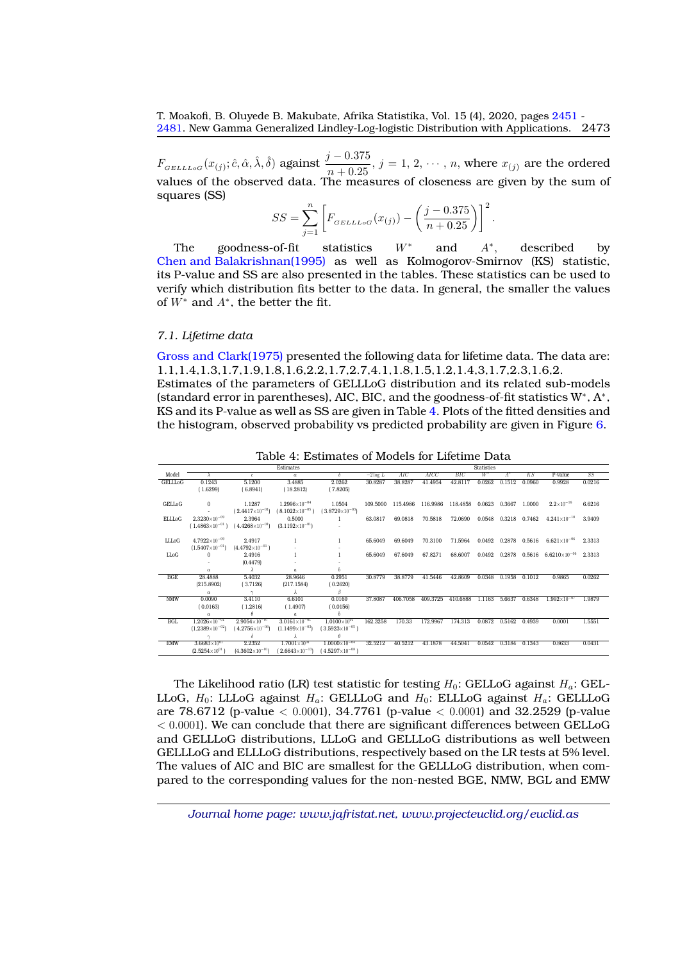$F_{GELLLoG}(x_{(j)}; \hat{c}, \hat{\alpha}, \hat{\lambda}, \hat{\delta})$  against  $\frac{j - 0.375}{n + 0.25}$ ,  $j = 1, 2, \dots, n$ , where  $x_{(j)}$  are the ordered values of the observed data. The measures of closeness are given by the sum of squares (SS)

$$
SS = \sum_{j=1}^{n} \left[ F_{GELLLoG}(x_{(j)}) - \left( \frac{j - 0.375}{n + 0.25} \right) \right]^2.
$$

The goodness-of-fit statistics  $W^*$  and  $A^*$ , , described by [Chen and Balakrishnan\(1995\)](#page-27-19) as well as Kolmogorov-Smirnov (KS) statistic, its P-value and SS are also presented in the tables. These statistics can be used to verify which distribution fits better to the data. In general, the smaller the values of  $W^*$  and  $A^*$ , the better the fit.

#### *7.1. Lifetime data*

[Gross and Clark\(1975\)](#page-27-20) presented the following data for lifetime data. The data are: 1.1,1.4,1.3,1.7,1.9,1.8,1.6,2.2,1.7,2.7,4.1,1.8,1.5,1.2,1.4,3,1.7,2.3,1.6,2.

Estimates of the parameters of GELLLoG distribution and its related sub-models (standard error in parentheses), AIC, BIC, and the goodness-of-fit statistics W<sup>∗</sup> , A<sup>∗</sup> , KS and its P-value as well as SS are given in Table [4.](#page-22-0) Plots of the fitted densities and the histogram, observed probability vs predicted probability are given in Figure [6.](#page-23-0)

<span id="page-22-0"></span>

|                | Estimates                |                                                   |                          |                            |            | Statistics |          |          |        |                  |               |                        |        |
|----------------|--------------------------|---------------------------------------------------|--------------------------|----------------------------|------------|------------|----------|----------|--------|------------------|---------------|------------------------|--------|
| Model          |                          | $\mathbf{c}$                                      | $\alpha$                 | ð.                         | $-2\log L$ | AIC        | AICC     | BIC      | $W^*$  | $\overline{A}^*$ | K S           | P-value                | SS     |
| <b>GELLLoG</b> | 0.1243                   | 5.1200                                            | 3.4885                   | 2.0262                     | 30.8287    | 38.8287    | 41.4954  | 42.8117  | 0.0262 | 0.1512           | 0.0960        | 0.9928                 | 0.0216 |
|                | (1.6299)                 | (6.8941)                                          | (18.2812)                | (7.8205)                   |            |            |          |          |        |                  |               |                        |        |
|                |                          |                                                   |                          |                            |            |            |          |          |        |                  |               |                        |        |
| GELLoG         | $\Omega$                 | 1.1287                                            | $1.2996\times10^{-04}$   | 1.0504                     | 109.5000   | 115.4986   | 116.9986 | 118,4858 | 0.0623 | 0.3667           | 1.0000        | $2.2 \times 10^{-16}$  | 6.6216 |
|                |                          | $(2.4417\times10^{-01})$                          | $(8.1022\times10^{-05})$ | $(3.8729\times10^{-03})$   |            |            |          |          |        |                  |               |                        |        |
| <b>ELLLoG</b>  | $2.3230\times10^{-09}$   | 2.3964                                            | 0.5000                   | 1.                         | 63.0817    | 69.0818    | 70.5818  | 72.0690  | 0.0548 | 0.3218           | 0.7462        | $4.241\times10^{-10}$  | 3.9409 |
|                |                          | $(1.4863\times10^{-01})$ $(4.4268\times10^{-01})$ | $(3.1192\times10^{-01})$ |                            |            |            |          |          |        |                  |               |                        |        |
|                |                          |                                                   |                          |                            |            |            |          |          |        |                  |               |                        |        |
| LLLoG          | $4.7922\times10^{-09}$   | 2.4917                                            |                          |                            | 65.6049    | 69.6049    | 70.3100  | 71.5964  | 0.0492 |                  | 0.2878 0.5616 | $6.621\times10^{-06}$  | 2.3313 |
|                | $(1.5407\times10^{-01})$ | $(4.4792\times10^{-01})$                          |                          |                            |            |            |          |          |        |                  |               |                        |        |
| LLoG           | $\Omega$                 | 2.4916                                            |                          |                            | 65.6049    | 67.6049    | 67.8271  | 68,6007  | 0.0492 | 0.2878           | 0.5616        | $6.6210\times10^{-06}$ | 2.3313 |
|                |                          | (0.4479)                                          |                          |                            |            |            |          |          |        |                  |               |                        |        |
|                | $\alpha$                 | $\lambda$                                         | $\boldsymbol{a}$         | b                          |            |            |          |          |        |                  |               |                        |        |
| <b>BGE</b>     | 28.4888                  | 5.4032                                            | 28.9646                  | 0.2951                     | 30.8779    | 38.8779    | 41.5446  | 42.8609  | 0.0348 | 0.1958           | 0.1012        | 0.9865                 | 0.0262 |
|                | (215.8902)               | (3.7126)                                          | (217.1584)               | (0.2620)                   |            |            |          |          |        |                  |               |                        |        |
|                | $\alpha$                 |                                                   |                          | β                          |            |            |          |          |        |                  |               |                        |        |
| <b>NMW</b>     | 0.0090                   | 3.4110                                            | 6.6101                   | 0.0169                     | 37,8087    | 406.7058   | 409.3725 | 410.6888 | 1.1163 | 5.6637           | 0.6348        | $1.992\times10^{-07}$  | 1.9879 |
|                | (0.0163)                 | (1.2816)                                          | (1.4907)                 | (0.0156)                   |            |            |          |          |        |                  |               |                        |        |
|                | $\alpha$                 | $\theta$                                          | $\mathfrak{a}$           | b                          |            |            |          |          |        |                  |               |                        |        |
| <b>BGL</b>     | $1.2026\times10^{-01}$   | $2.9054\times10^{-07}$                            | $3.0161\times10^{-01}$   | $1.0100\times10^{01}$      | 162.3258   | 170.33     | 172.9967 | 174.313  | 0.0872 | 0.5162           | 0.4939        | 0.0001                 | 1.5551 |
|                | $(1.2389\times10^{-02})$ | $(4.2756\times10^{-06})$                          | $(1.1499\times10^{-03})$ | $(3.5923\times10^{-05})$   |            |            |          |          |        |                  |               |                        |        |
|                | $\gamma$                 | δ                                                 | $\lambda$                | $\theta$                   |            |            |          |          |        |                  |               |                        |        |
| <b>EMW</b>     | $3.6683\times10^{01}$    | 2.2352                                            | $1.7001\times10^{01}$    | $1.0000\times10^{-04}$     | 32.5212    | 40.5212    | 43.1878  | 44.5041  | 0.0542 | 0.3184           | 0.1343        | 0.8633                 | 0.0431 |
|                | $(2.5254\times10^{01})$  | $(4.3602\times10^{-01})$                          | $(2.6643\times10^{-13})$ | (4.5297 $\times10^{-08}$ ) |            |            |          |          |        |                  |               |                        |        |
|                |                          |                                                   |                          |                            |            |            |          |          |        |                  |               |                        |        |

Table 4: Estimates of Models for Lifetime Data

The Likelihood ratio (LR) test statistic for testing  $H_0$ : GELLoG against  $H_a$ : GEL-LLoG,  $H_0$ : LLLoG against  $H_a$ : GELLLoG and  $H_0$ : ELLLoG against  $H_a$ : GELLLoG are 78.6712 (p-value < 0.0001), 34.7761 (p-value < 0.0001) and 32.2529 (p-value  $<$  0.0001). We can conclude that there are significant differences between GELLoG and GELLLoG distributions, LLLoG and GELLLoG distributions as well between GELLLoG and ELLLoG distributions, respectively based on the LR tests at 5% level. The values of AIC and BIC are smallest for the GELLLoG distribution, when compared to the corresponding values for the non-nested BGE, NMW, BGL and EMW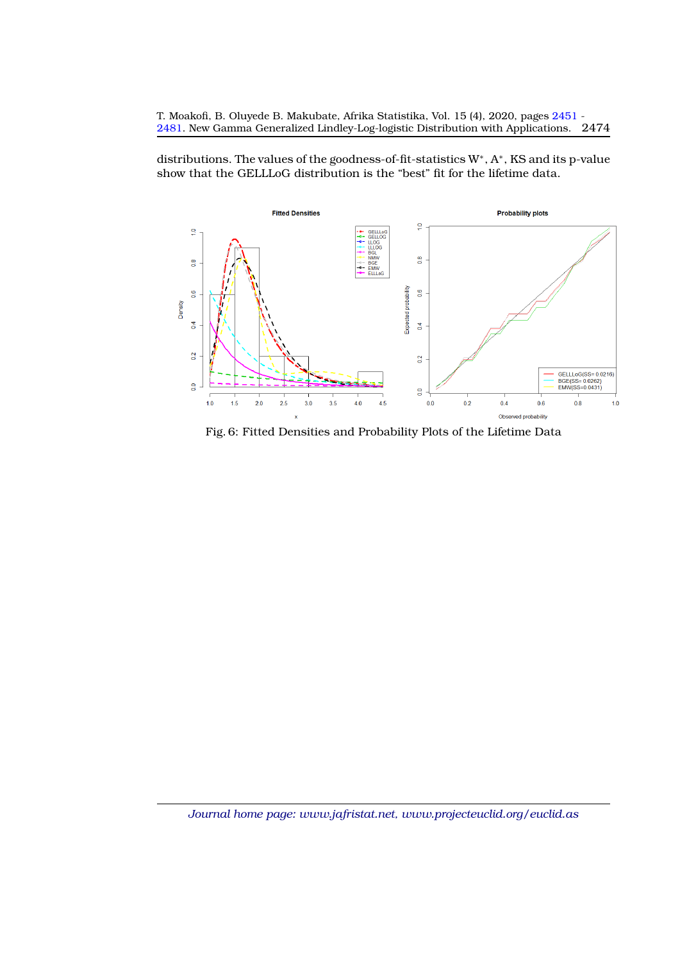distributions. The values of the goodness-of-fit-statistics W<sup>∗</sup> , A<sup>∗</sup> , KS and its p-value show that the GELLLoG distribution is the "best" fit for the lifetime data.

<span id="page-23-0"></span>

Fig. 6: Fitted Densities and Probability Plots of the Lifetime Data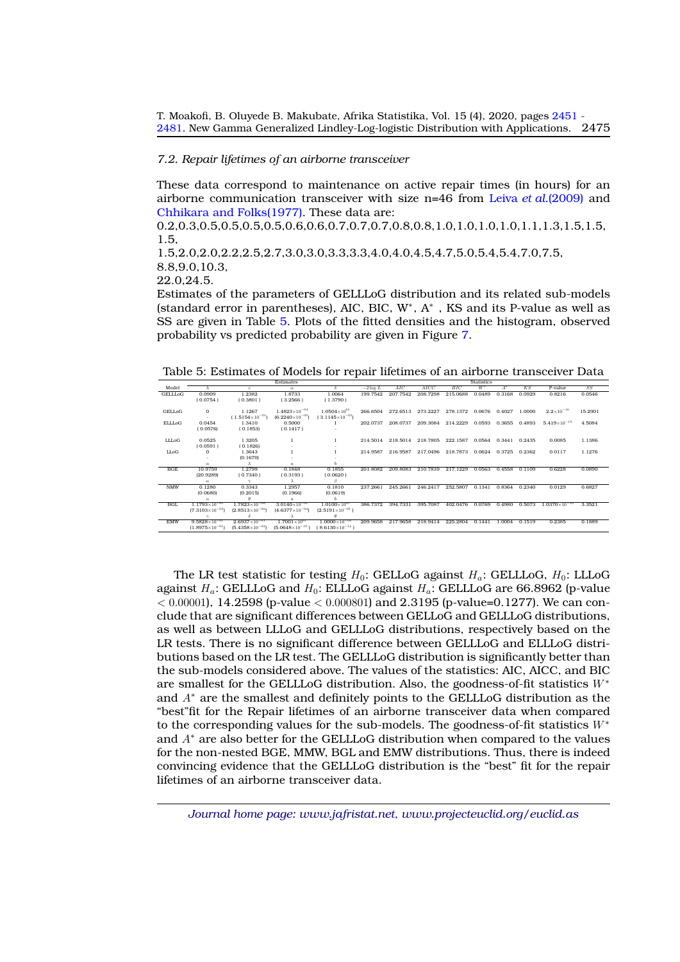## *7.2. Repair lifetimes of an airborne transceiver*

These data correspond to maintenance on active repair times (in hours) for an airborne communication transceiver with size n=46 from Leiva *et al.*[\(2009\)](#page-27-21) and [Chhikara and Folks\(1977\).](#page-27-22) These data are:

0.2,0.3,0.5,0.5,0.5,0.5,0.6,0.6,0.7,0.7,0.7,0.8,0.8,1.0,1.0,1.0,1.0,1.1,1.3,1.5,1.5, 1.5, 1.5,2.0,2.0,2.2,2.5,2.7,3.0,3.0,3.3,3.3,4.0,4.0,4.5,4.7,5.0,5.4,5.4,7.0,7.5, 8.8,9.0,10.3, 22.0,24.5.

Estimates of the parameters of GELLLoG distribution and its related sub-models (standard error in parentheses), AIC, BIC, W<sup>∗</sup> , A<sup>∗</sup> , KS and its P-value as well as SS are given in Table [5.](#page-24-0) Plots of the fitted densities and the histogram, observed probability vs predicted probability are given in Figure [7.](#page-25-0)

Table 5: Estimates of Models for repair lifetimes of an airborne transceiver Data

<span id="page-24-0"></span>

|                | Estimates                |                          |                          |                          |            | <b>Statistics</b> |          |          |        |                  |        |                        |         |
|----------------|--------------------------|--------------------------|--------------------------|--------------------------|------------|-------------------|----------|----------|--------|------------------|--------|------------------------|---------|
| Model          |                          | c.                       | $\alpha$                 | δ                        | $-2\log L$ | AIC               | AICC     | BIC      | $W^*$  | $\overline{A}^*$ | KS     | P-value                | SS      |
| <b>GELLLoG</b> | 0.0909                   | 1.2382                   | 1.8733                   | 1.0064                   | 199,7542   | 207.7542          | 208.7298 | 215,0688 | 0.0489 | 0.3168           | 0.0929 | 0.8216                 | 0.0546  |
|                | (0.0754)                 | (0.3801)                 | (3.2566)                 | (1.3790)                 |            |                   |          |          |        |                  |        |                        |         |
|                |                          |                          |                          |                          |            |                   |          |          |        |                  |        |                        |         |
| <b>GELLoG</b>  | $\Omega$                 | 1.1267                   | $1.4823\times10^{-04}$   | $1.0504\times10^{01}$    | 266,6504   | 272.6513          | 273.2227 | 278.1372 | 0.0676 | 0.4027           | 1.0000 | $2.2\times10^{-16}$    | 15.2901 |
|                |                          | $1.5154\times10^{-01}$   | $(6.2240\times10^{-05})$ | $(3.1145\times10^{-03})$ |            |                   |          |          |        |                  |        |                        |         |
| <b>ELLLoG</b>  | 0.0454                   | 1.3410                   | 0.5000                   |                          | 202.0737   | 208.0737          | 209.3084 | 214.2229 | 0.0593 | 0.3655           | 0.4893 | $5.419\times10^{-10}$  | 4.5084  |
|                | (0.0576)                 | (0.1853)                 | (0.1417)                 |                          |            |                   |          |          |        |                  |        |                        |         |
|                |                          |                          |                          |                          |            |                   |          |          |        |                  |        |                        |         |
| LLLoG          | 0.0525                   | 1.3205                   |                          |                          | 214.5014   | 218,5014          | 218,7805 | 222.1587 | 0.0564 | 0.3441           | 0.2435 | 0.0085                 | 1.1386  |
|                | (0.0591)                 | (0.1826)                 |                          |                          |            |                   |          |          |        |                  |        |                        |         |
| LLoG           | $\Omega$                 | 1.3643                   |                          |                          | 214.9587   | 216.9587          | 217.0496 | 218,7873 | 0.0624 | 0.3725           | 0.2362 | 0.0117                 | 1.1276  |
|                |                          | (0.1670)                 |                          |                          |            |                   |          |          |        |                  |        |                        |         |
|                | $\alpha$                 |                          | $\boldsymbol{a}$         |                          |            |                   |          |          |        |                  |        |                        |         |
| BGE            | 10.9759                  | 1.2799                   | 0.1848                   | 0.1855                   | 201.8082   | 209.8083          | 210.7839 | 217.1229 | 0.0563 | 0.4558           | 0.1109 | 0.6228                 | 0.0890  |
|                | (20.9289)                | (0.7340)                 | (0.3193)                 | (0.0620)                 |            |                   |          |          |        |                  |        |                        |         |
|                | $\alpha$                 | $\sim$                   | $\lambda$                | B                        |            |                   |          |          |        |                  |        |                        |         |
| <b>NMW</b>     | 0.1280                   | 0.3343                   | 1.2957                   | 0.1810                   | 237.2661   | 245.2661          | 246.2417 | 252,5807 | 0.1341 | 0.8364           | 0.2340 | 0.0129                 | 0.6827  |
|                | (0.0680)                 | (0.2015)                 | (0.1966)                 | (0.0619)                 |            |                   |          |          |        |                  |        |                        |         |
|                | $\alpha$                 | $\theta$                 | $\boldsymbol{a}$         | Ь                        |            |                   |          |          |        |                  |        |                        |         |
| <b>BGL</b>     | $1.1793\times10^{-01}$   | $1.7823\times10^{-06}$   | $3.0140\times10^{-01}$   | $1.0100\times10^{01}$    | 386,7372   | 394,7331          | 395,7087 | 402.0476 | 0.0769 | 0.4980           | 0.5073 | $1.0370\times10^{-10}$ | 3.3521  |
|                | $(7.3103\times10^{-03})$ | $(2.8513\times10^{-06})$ | $(4.6377\times10^{-04})$ | $(2.5191\times10^{-05})$ |            |                   |          |          |        |                  |        |                        |         |
|                |                          |                          |                          | $\theta$                 |            |                   |          |          |        |                  |        |                        |         |
| <b>EMW</b>     | $9.5828\times10^{-01}$   | $2.6937\times10^{-01}$   | $1.7001\times10^{91}$    | $1.0000\times10^{-04}$   | 209,9658   | 217,9658          | 218,9414 | 225.2804 | 0.1441 | 1.0004           | 0.1519 | 0.2385                 | 0.1889  |
|                | $(1.8975\times10^{-01})$ | $(5.4358\times10^{-02})$ | $(5.0648\times10^{-19})$ | $(8.6130\times10^{-14})$ |            |                   |          |          |        |                  |        |                        |         |

The LR test statistic for testing  $H_0$ : GELLoG against  $H_a$ : GELLLoG,  $H_0$ : LLLoG against  $H_a$ : GELLLoG and  $H_0$ : ELLLoG against  $H_a$ : GELLLoG are 66.8962 (p-value  $< 0.00001$ , 14.2598 (p-value  $< 0.000801$ ) and 2.3195 (p-value=0.1277). We can conclude that are significant differences between GELLoG and GELLLoG distributions, as well as between LLLoG and GELLLoG distributions, respectively based on the LR tests. There is no significant difference between GELLLoG and ELLLoG distributions based on the LR test. The GELLLoG distribution is significantly better than the sub-models considered above. The values of the statistics: AIC, AICC, and BIC are smallest for the GELLLoG distribution. Also, the goodness-of-fit statistics W<sup>∗</sup> and A<sup>∗</sup> are the smallest and definitely points to the GELLLoG distribution as the "best"fit for the Repair lifetimes of an airborne transceiver data when compared to the corresponding values for the sub-models. The goodness-of-fit statistics W<sup>∗</sup> and A<sup>∗</sup> are also better for the GELLLoG distribution when compared to the values for the non-nested BGE, MMW, BGL and EMW distributions. Thus, there is indeed convincing evidence that the GELLLoG distribution is the "best" fit for the repair lifetimes of an airborne transceiver data.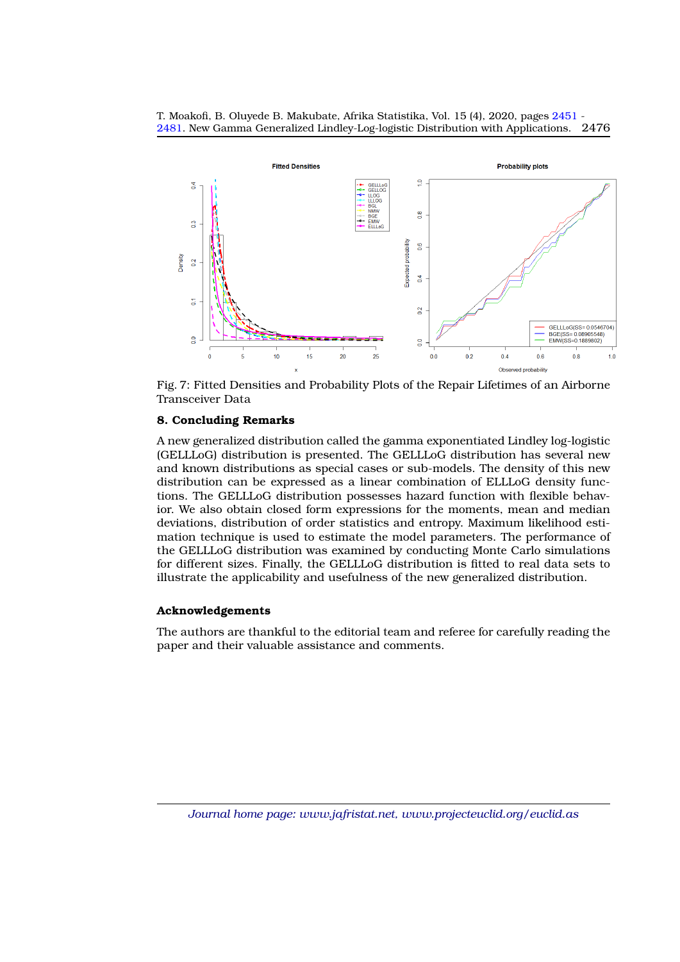

<span id="page-25-0"></span>

Fig. 7: Fitted Densities and Probability Plots of the Repair Lifetimes of an Airborne Transceiver Data

# **8. Concluding Remarks**

A new generalized distribution called the gamma exponentiated Lindley log-logistic (GELLLoG) distribution is presented. The GELLLoG distribution has several new and known distributions as special cases or sub-models. The density of this new distribution can be expressed as a linear combination of ELLLoG density functions. The GELLLoG distribution possesses hazard function with flexible behavior. We also obtain closed form expressions for the moments, mean and median deviations, distribution of order statistics and entropy. Maximum likelihood estimation technique is used to estimate the model parameters. The performance of the GELLLoG distribution was examined by conducting Monte Carlo simulations for different sizes. Finally, the GELLLoG distribution is fitted to real data sets to illustrate the applicability and usefulness of the new generalized distribution.

# **Acknowledgements**

The authors are thankful to the editorial team and referee for carefully reading the paper and their valuable assistance and comments.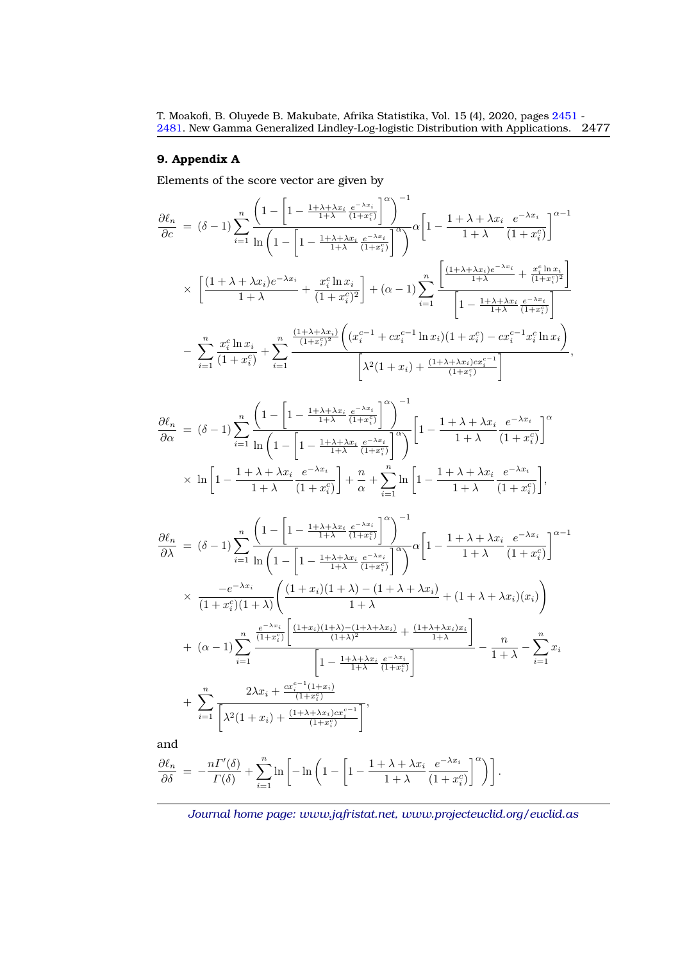# **9. Appendix A**

Elements of the score vector are given by

$$
\frac{\partial \ell_n}{\partial c} = (\delta - 1) \sum_{i=1}^n \frac{\left(1 - \left[1 - \frac{1 + \lambda + \lambda x_i}{1 + \lambda} \frac{e^{-\lambda x_i}}{(1 + x_i^c)}\right]^{\alpha}\right)^{-1}}{ \left[1 - \frac{1 + \lambda + \lambda x_i}{1 + \lambda} \frac{e^{-\lambda x_i}}{(1 + x_i^c)}\right]^{\alpha - 1}} \times \left[\frac{(1 + \lambda + \lambda x_i)e^{-\lambda x_i}}{1 + \lambda} + \frac{x_i^c \ln x_i}{(1 + x_i^c)^2}\right] + (\alpha - 1) \sum_{i=1}^n \frac{\left[\frac{(1 + \lambda + \lambda x_i)e^{-\lambda x_i}}{1 + \lambda} + \frac{x_i^c \ln x_i}{(1 + x_i^c)^2}\right]}{\left[1 - \frac{1 + \lambda + \lambda x_i}{1 + \lambda} \frac{e^{-\lambda x_i}}{(1 + x_i^c)^2}\right]} - \sum_{i=1}^n \frac{x_i^c \ln x_i}{(1 + x_i^c)} + \sum_{i=1}^n \frac{\frac{(1 + \lambda + \lambda x_i)e^{-\lambda x_i}}{(1 + x_i^c)^2} \left((x_i^{c-1} + cx_i^{c-1} \ln x_i)(1 + x_i^c) - cx_i^{c-1}x_i^c \ln x_i\right)}{\left[\lambda^2 (1 + x_i) + \frac{(1 + \lambda + \lambda x_i)cx_i^{c-1}}{(1 + x_i^c)}\right]},
$$

$$
\frac{\partial \ell_n}{\partial \alpha} = (\delta - 1) \sum_{i=1}^n \frac{\left(1 - \left[1 - \frac{1 + \lambda + \lambda x_i}{1 + \lambda} \frac{e^{-\lambda x_i}}{(1 + x_i^c)}\right]^\alpha\right)^{-1}}{\ln\left(1 - \left[1 - \frac{1 + \lambda + \lambda x_i}{1 + \lambda} \frac{e^{-\lambda x_i}}{(1 + x_i^c)}\right]^\alpha\right)} \left[1 - \frac{1 + \lambda + \lambda x_i}{1 + \lambda} \frac{e^{-\lambda x_i}}{(1 + x_i^c)}\right]^\alpha
$$

$$
\times \ln\left[1 - \frac{1 + \lambda + \lambda x_i}{1 + \lambda} \frac{e^{-\lambda x_i}}{(1 + x_i^c)}\right] + \frac{n}{\alpha} + \sum_{i=1}^n \ln\left[1 - \frac{1 + \lambda + \lambda x_i}{1 + \lambda} \frac{e^{-\lambda x_i}}{(1 + x_i^c)}\right],
$$

$$
\frac{\partial \ell_n}{\partial \lambda} = (\delta - 1) \sum_{i=1}^n \frac{\left(1 - \left[1 - \frac{1 + \lambda + \lambda x_i}{1 + \lambda} \frac{e^{-\lambda x_i}}{(1 + x_i^c)}\right]^{\alpha}\right)^{-1}}{\ln\left(1 - \left[1 - \frac{1 + \lambda + \lambda x_i}{1 + \lambda} \frac{e^{-\lambda x_i}}{(1 + x_i^c)}\right]^{\alpha}\right]} \alpha \left[1 - \frac{1 + \lambda + \lambda x_i}{1 + \lambda} \frac{e^{-\lambda x_i}}{(1 + x_i^c)}\right]^{\alpha - 1}
$$
\n
$$
\times \frac{-e^{-\lambda x_i}}{(1 + x_i^c)(1 + \lambda)} \left(\frac{(1 + x_i)(1 + \lambda) - (1 + \lambda + \lambda x_i)}{1 + \lambda} + (1 + \lambda + \lambda x_i)(x_i)\right)
$$
\n
$$
+ (\alpha - 1) \sum_{i=1}^n \frac{\frac{e^{-\lambda x_i}}{(1 + x_i^c)} \left[\frac{(1 + x_i)(1 + \lambda) - (1 + \lambda + \lambda x_i)}{(1 + \lambda)^2} + \frac{(1 + \lambda + \lambda x_i)x_i}{1 + \lambda}\right]}{\left[1 - \frac{1 + \lambda + \lambda x_i}{1 + \lambda} \frac{e^{-\lambda x_i}}{(1 + x_i^c)}\right]} - \frac{n}{1 + \lambda} - \sum_{i=1}^n x_i
$$
\n
$$
+ \sum_{i=1}^n \frac{2\lambda x_i + \frac{cx_i^{c-1}(1 + x_i)}{(1 + x_i^c)}}{\left[\lambda^2(1 + x_i) + \frac{(1 + \lambda + \lambda x_i)cx_i^{c-1}}{(1 + x_i^c)}\right]},
$$

and

$$
\frac{\partial \ell_n}{\partial \delta} = -\frac{n\Gamma'(\delta)}{\Gamma(\delta)} + \sum_{i=1}^n \ln \left[ -\ln \left( 1 - \left[ 1 - \frac{1 + \lambda + \lambda x_i}{1 + \lambda} \frac{e^{-\lambda x_i}}{(1 + x_i^c)} \right]^\alpha \right) \right].
$$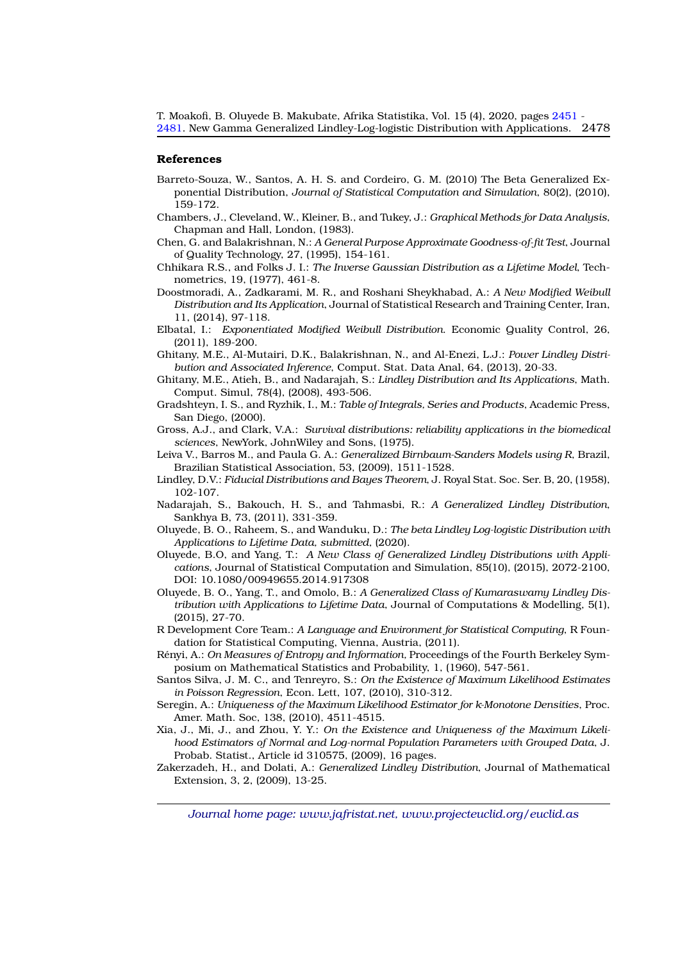#### <span id="page-27-0"></span>**References**

- <span id="page-27-16"></span>Barreto-Souza, W., Santos, A. H. S. and Cordeiro, G. M. (2010) The Beta Generalized Exponential Distribution, *Journal of Statistical Computation and Simulation*, 80(2), (2010), 159-172.
- <span id="page-27-18"></span>Chambers, J., Cleveland, W., Kleiner, B., and Tukey, J.: *Graphical Methods for Data Analysis*, Chapman and Hall, London, (1983).
- <span id="page-27-19"></span>Chen, G. and Balakrishnan, N.: *A General Purpose Approximate Goodness-of-fit Test*, Journal of Quality Technology, 27, (1995), 154-161.
- <span id="page-27-22"></span>Chhikara R.S., and Folks J. I.: *The Inverse Gaussian Distribution as a Lifetime Model*, Technometrics, 19, (1977), 461-8.
- <span id="page-27-15"></span>Doostmoradi, A., Zadkarami, M. R., and Roshani Sheykhabad, A.: *A New Modified Weibull Distribution and Its Application*, Journal of Statistical Research and Training Center, Iran, 11, (2014), 97-118.
- <span id="page-27-17"></span>Elbatal, I.: *Exponentiated Modified Weibull Distribution*. Economic Quality Control, 26, (2011), 189-200.
- <span id="page-27-6"></span>Ghitany, M.E., Al-Mutairi, D.K., Balakrishnan, N., and Al-Enezi, L.J.: *Power Lindley Distribution and Associated Inference*, Comput. Stat. Data Anal, 64, (2013), 20-33.
- <span id="page-27-4"></span>Ghitany, M.E., Atieh, B., and Nadarajah, S.: *Lindley Distribution and Its Applications*, Math. Comput. Simul, 78(4), (2008), 493-506.
- <span id="page-27-9"></span>Gradshteyn, I. S., and Ryzhik, I., M.: *Table of Integrals, Series and Products*, Academic Press, San Diego, (2000).
- <span id="page-27-20"></span>Gross, A.J., and Clark, V.A.: *Survival distributions: reliability applications in the biomedical sciences*, NewYork, JohnWiley and Sons, (1975).
- <span id="page-27-21"></span>Leiva V., Barros M., and Paula G. A.: *Generalized Birnbaum-Sanders Models using R*, Brazil, Brazilian Statistical Association, 53, (2009), 1511-1528.
- <span id="page-27-1"></span>Lindley, D.V.: *Fiducial Distributions and Bayes Theorem*, J. Royal Stat. Soc. Ser. B, 20, (1958), 102-107.
- <span id="page-27-5"></span>Nadarajah, S., Bakouch, H. S., and Tahmasbi, R.: *A Generalized Lindley Distribution*, Sankhya B, 73, (2011), 331-359.
- <span id="page-27-8"></span>Oluyede, B. O., Raheem, S., and Wanduku, D.: *The beta Lindley Log-logistic Distribution with Applications to Lifetime Data, submitted,* (2020).
- <span id="page-27-2"></span>Oluyede, B.O, and Yang, T.: *A New Class of Generalized Lindley Distributions with Applications*, Journal of Statistical Computation and Simulation, 85(10), (2015), 2072-2100, DOI: 10.1080/00949655.2014.917308
- <span id="page-27-3"></span>Oluyede, B. O., Yang, T., and Omolo, B.: *A Generalized Class of Kumaraswamy Lindley Distribution with Applications to Lifetime Data*, Journal of Computations & Modelling, 5(1), (2015), 27-70.
- <span id="page-27-11"></span>R Development Core Team.: *A Language and Environment for Statistical Computing*, R Foundation for Statistical Computing, Vienna, Austria, (2011).
- <span id="page-27-10"></span>Rényi, A.: On Measures of Entropy and Information, Proceedings of the Fourth Berkeley Symposium on Mathematical Statistics and Probability, 1, (1960), 547-561.
- <span id="page-27-13"></span>Santos Silva, J. M. C., and Tenreyro, S.: *On the Existence of Maximum Likelihood Estimates in Poisson Regression*, Econ. Lett, 107, (2010), 310-312.
- <span id="page-27-12"></span>Seregin, A.: *Uniqueness of the Maximum Likelihood Estimator for k-Monotone Densities*, Proc. Amer. Math. Soc, 138, (2010), 4511-4515.
- <span id="page-27-14"></span>Xia, J., Mi, J., and Zhou, Y. Y.: *On the Existence and Uniqueness of the Maximum Likelihood Estimators of Normal and Log-normal Population Parameters with Grouped Data*, J. Probab. Statist., Article id 310575, (2009), 16 pages.
- <span id="page-27-7"></span>Zakerzadeh, H., and Dolati, A.: *Generalized Lindley Distribution*, Journal of Mathematical Extension, 3, 2, (2009), 13-25.